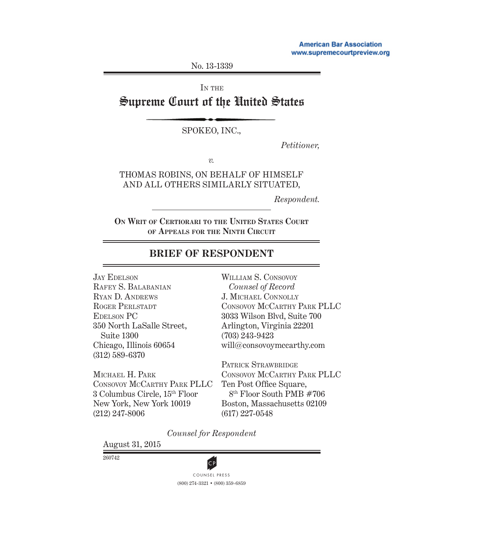No. 13-1339

IN THE

# Supreme Court of the United States

#### SPOKEO, INC.,

*Petitioner,*

*v.*

THOMAS ROBINS, ON BEHALF OF HIMSELF AND ALL OTHERS SIMILARLY SITUATED,

*Respondent.*

**ON WRIT OF CERTIORARI TO THE UNITED STATES COURT OF APPEALS FOR THE NINTH CIRCUIT**

## **BRIEF OF RESPONDENT**

JAY EDELSON RAFEY S. BALABANIAN RYAN D. ANDREWS ROGER PERLSTADT EDELSON PC 350 North LaSalle Street, Suite 1300 Chicago, Illinois 60654 (312) 589-6370

MICHAEL H. PARK CONSOVOY MCCARTHY PARK PLLC 3 Columbus Circle, 15th Floor New York, New York 10019 (212) 247-8006

WILLIAM S. CONSOVOY *Counsel of Record* J. MICHAEL CONNOLLY CONSOVOY MCCARTHY PARK PLLC 3033 Wilson Blvd, Suite 700 Arlington, Virginia 22201 (703) 243-9423 will@consovoymccarthy.com

PATRICK STRAWBRIDGE CONSOVOY MCCARTHY PARK PLLC Ten Post Office Square, 8th Floor South PMB #706 Boston, Massachusetts 02109 (617) 227-0548

*Counsel for Respondent*

August 31, 2015

260742



(800) 274-3321 • (800) 359-6859 **CP**<br>COUNSEL PRESS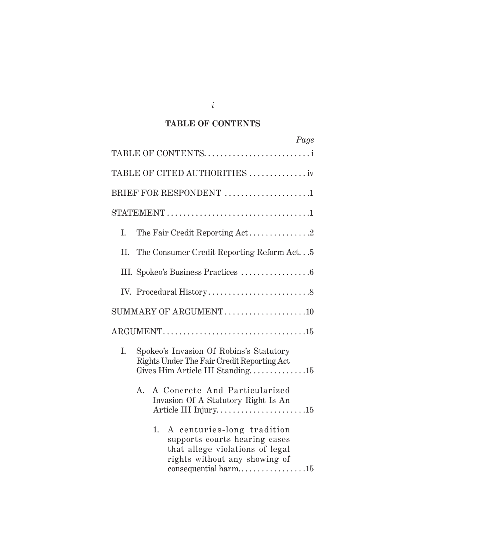### **TABLE OF CONTENTS**

| Page                                                                                                                                  |
|---------------------------------------------------------------------------------------------------------------------------------------|
| TABLE OF CONTENTS                                                                                                                     |
| TABLE OF CITED AUTHORITIES  iv                                                                                                        |
| BRIEF FOR RESPONDENT 1                                                                                                                |
|                                                                                                                                       |
| Ι.                                                                                                                                    |
| The Consumer Credit Reporting Reform Act5<br>II.                                                                                      |
|                                                                                                                                       |
|                                                                                                                                       |
| SUMMARY OF ARGUMENT10                                                                                                                 |
|                                                                                                                                       |
| I.<br>Spokeo's Invasion Of Robins's Statutory<br>Rights Under The Fair Credit Reporting Act<br>Gives Him Article III Standing15       |
| A Concrete And Particularized<br>$A_{-}$<br>Invasion Of A Statutory Right Is An<br>Article III Injury15                               |
| A centuries-long tradition<br>1.<br>supports courts hearing cases<br>that allege violations of legal<br>rights without any showing of |

*i*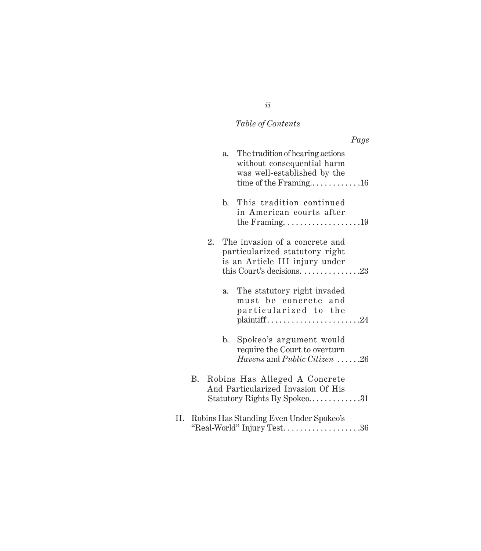# *Table of Contents*

|    |    |    |                |                                                                                                                                                                  | Page |
|----|----|----|----------------|------------------------------------------------------------------------------------------------------------------------------------------------------------------|------|
|    |    |    | $a_{\cdot}$    | The tradition of hearing actions<br>without consequential harm<br>was well-established by the                                                                    |      |
|    |    |    | $\mathbf{b}$ . | This tradition continued<br>in American courts after<br>the Framing. $\dots \dots \dots \dots \dots \dots 19$                                                    |      |
|    |    | 2. |                | The invasion of a concrete and<br>particularized statutory right<br>is an Article III injury under<br>this Court's decisions. $\dots \dots \dots \dots \dots 23$ |      |
|    |    |    | a.             | The statutory right invaded<br>must be concrete and<br>particularized to the<br>$plain\text{tf}1 \ldots \ldots \ldots \ldots \ldots \ldots \ldots \ldots 24$     |      |
|    |    |    | $\mathbf{b}$ . | Spokeo's argument would<br>require the Court to overturn<br><i>Havens</i> and <i>Public Citizen</i> $\dots$ .26                                                  |      |
|    | В. |    |                | Robins Has Alleged A Concrete<br>And Particularized Invasion Of His<br>Statutory Rights By Spokeo31                                                              |      |
| П. |    |    |                | Robins Has Standing Even Under Spokeo's                                                                                                                          |      |

# *ii*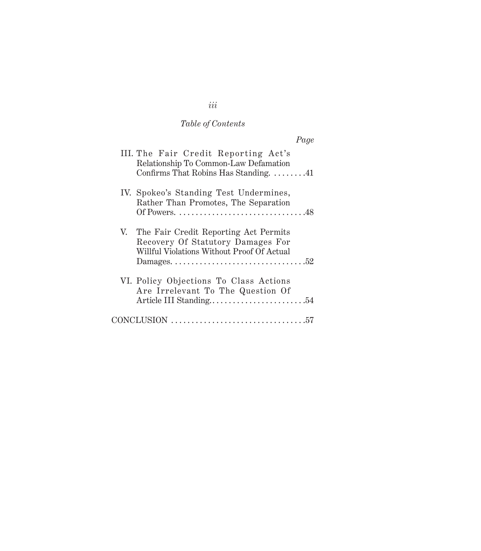# *Table of Contents*

| Page                                                                                                                        |
|-----------------------------------------------------------------------------------------------------------------------------|
| III. The Fair Credit Reporting Act's<br>Relationship To Common-Law Defamation<br>Confirms That Robins Has Standing. 41      |
| IV. Spokeo's Standing Test Undermines,<br>Rather Than Promotes, The Separation<br>Of Powers. 48                             |
| V. The Fair Credit Reporting Act Permits<br>Recovery Of Statutory Damages For<br>Willful Violations Without Proof Of Actual |
| VI. Policy Objections To Class Actions<br>Are Irrelevant To The Question Of                                                 |
| $CONCLUSION \dots 57$                                                                                                       |

# *iii*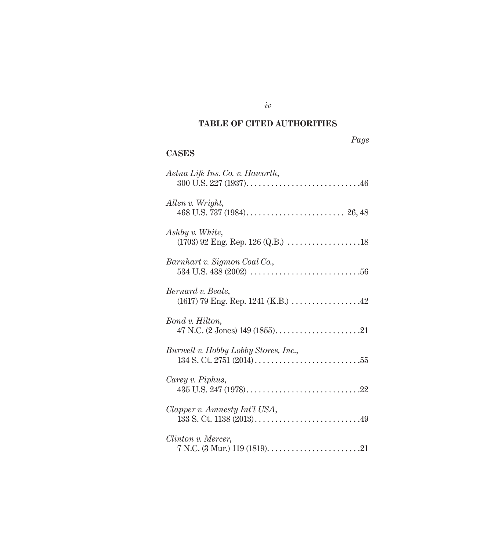### **TABLE OF CITED AUTHORITIES**

*iv*

#### **CASES**

| Aetna Life Ins. Co. v. Haworth,                                                                    |
|----------------------------------------------------------------------------------------------------|
| Allen v. Wright,                                                                                   |
| Ashby v. White,<br>$(1703)$ 92 Eng. Rep. 126 (Q.B.) $\ldots \ldots \ldots \ldots \ldots \ldots$ 18 |
| Barnhart v. Sigmon Coal Co.,                                                                       |
| Bernard v. Beale,                                                                                  |
| Bond v. Hilton,                                                                                    |
| Burwell v. Hobby Lobby Stores, Inc.,                                                               |
| Carey v. Piphus,                                                                                   |
| Clapper v. Amnesty Int'l USA,                                                                      |
| Clinton v. Mercer,                                                                                 |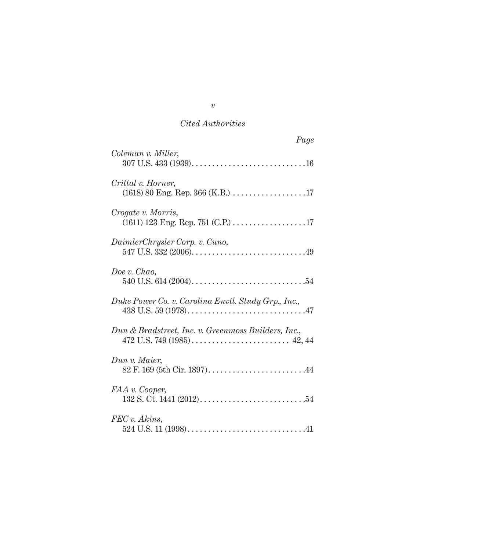| Page                                                |
|-----------------------------------------------------|
| Coleman v. Miller,                                  |
| Crittal v. Horner,                                  |
| Crogate v. Morris,                                  |
| DaimlerChrysler Corp. v. Cuno,                      |
| Doe v. Chao,                                        |
| Duke Power Co. v. Carolina Envtl. Study Grp., Inc., |
| Dun & Bradstreet, Inc. v. Greenmoss Builders, Inc., |
| Dun v. Maier,                                       |
| FAA v. Cooper,                                      |
| FEC v. Akins,                                       |

*v*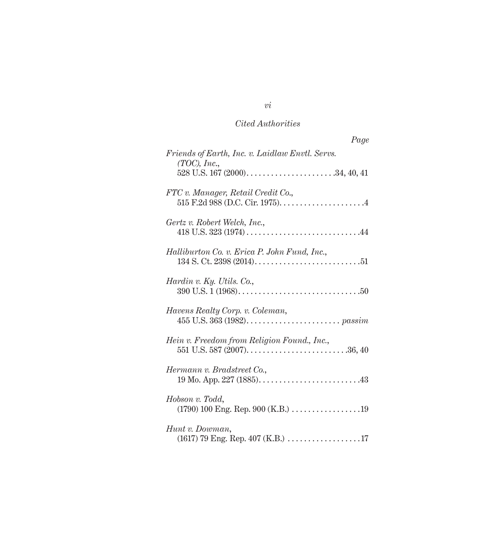| Page                                                            |
|-----------------------------------------------------------------|
| Friends of Earth, Inc. v. Laidlaw Envtl. Servs.<br>(TOC), Inc., |
|                                                                 |
| FTC v. Manager, Retail Credit Co.,                              |
| Gertz v. Robert Welch, Inc.,                                    |
| Halliburton Co. v. Erica P. John Fund, Inc.,                    |
| Hardin v. Ky. Utils. Co.,                                       |
| Havens Realty Corp. v. Coleman,                                 |
| Hein v. Freedom from Religion Found., Inc.,                     |
| Hermann v. Bradstreet Co.,                                      |
| Hobson v. Todd,<br>(1790) 100 Eng. Rep. 900 (K.B.) 19           |
| Hunt v. Dowman,                                                 |

*vi*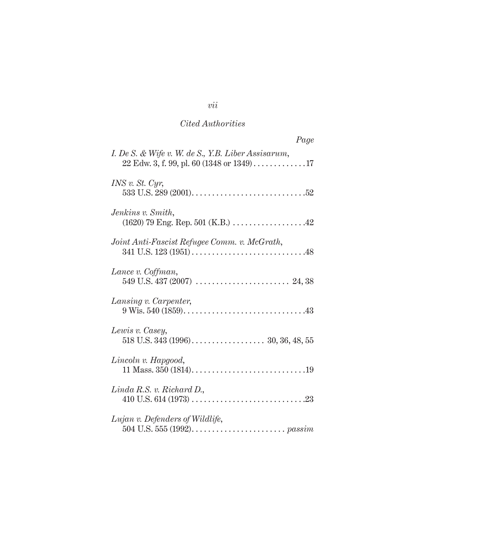| Page                                                                                                                             |
|----------------------------------------------------------------------------------------------------------------------------------|
| I. De S. & Wife v. W. de S., Y.B. Liber Assisarum,<br>$22$ Edw. 3, f. 99, pl. 60 (1348 or 1349)17                                |
| INS v. St. Cyr,                                                                                                                  |
| Jenkins v. Smith,<br>$(1620)$ 79 Eng. Rep. 501 (K.B.) 42                                                                         |
| Joint Anti-Fascist Refugee Comm. v. McGrath,                                                                                     |
| Lance v. Coffman,                                                                                                                |
| Lansing v. Carpenter,                                                                                                            |
| Lewis v. Casey,                                                                                                                  |
| Lincoln v. Hapgood,                                                                                                              |
| Linda R.S. v. Richard D.                                                                                                         |
| Lujan v. Defenders of Wildlife,<br>504 U.S. 555 (1992). $\ldots$ . $\ldots$ . $\ldots$ . $\ldots$ . $\ldots$ . $\ldots$ $\ldots$ |

## *vii*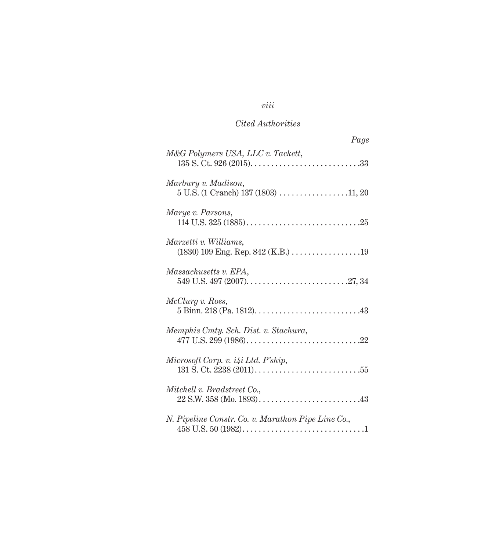## *viii*

### *Cited Authorities*

| Page                                                                                                        |
|-------------------------------------------------------------------------------------------------------------|
| M&G Polymers USA, LLC v. Tackett,                                                                           |
| Marbury v. Madison,<br>$5$ U.S. (1 Cranch) 137 (1803) 11, 20                                                |
| Marye v. Parsons,                                                                                           |
| Marzetti v. Williams,<br>(1830) 109 Eng. Rep. 842 (K.B.) 19                                                 |
| Massachusetts v. EPA,                                                                                       |
| McClurg v. Ross,<br>$5 \text{ Binn. } 218 \text{ (Pa. } 1812) \dots 13$                                     |
| Memphis Cmty. Sch. Dist. v. Stachura,                                                                       |
| Microsoft Corp. v. i4i Ltd. P'ship,<br>131 S. Ct. 2238 (2011). $\dots$ . $\dots$ . $\dots$ . $\dots$ . $55$ |
| Mitchell v. Bradstreet Co.,                                                                                 |
| N. Pipeline Constr. Co. v. Marathon Pipe Line Co.,                                                          |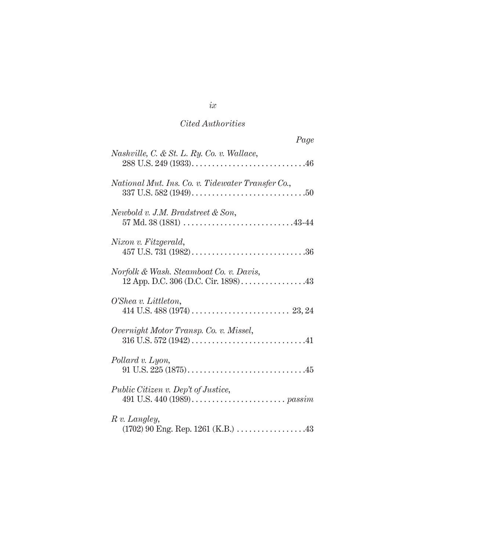| Page                                                                           |
|--------------------------------------------------------------------------------|
| Nashville, C. & St. L. Ry. Co. v. Wallace,                                     |
| National Mut. Ins. Co. v. Tidewater Transfer Co.,                              |
| Newbold v. J.M. Bradstreet & Son,<br>57 Md. 38 (1881) $\ldots$ 43-44           |
| Nixon v. Fitzgerald,                                                           |
| Norfolk & Wash. Steamboat Co. v. Davis,<br>12 App. D.C. 306 (D.C. Cir. 1898)43 |
| O'Shea v. Littleton,                                                           |
| Overnight Motor Transp. Co. v. Missel,                                         |
| Pollard v. Lyon,                                                               |
| Public Citizen v. Dep't of Justice,                                            |
| R v. Langley,<br>(1702) 90 Eng. Rep. 1261 (K.B.) 43                            |

## *ix*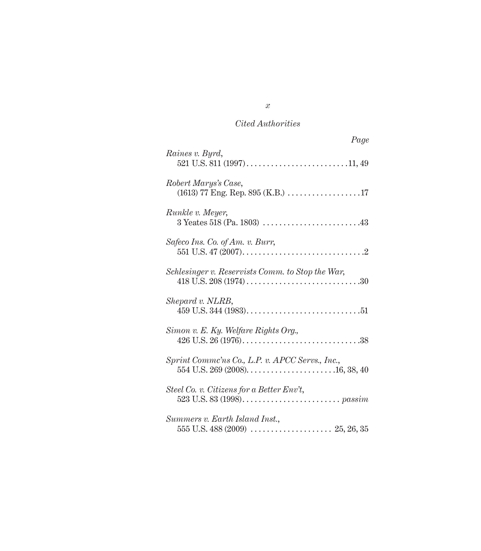| Page                                             |
|--------------------------------------------------|
| Raines v. Byrd,                                  |
| Robert Marys's Case,                             |
| Runkle v. Meyer,                                 |
| Safeco Ins. Co. of Am. v. Burr,                  |
| Schlesinger v. Reservists Comm. to Stop the War, |
| Shepard v. NLRB,                                 |
| Simon v. E. Ky. Welfare Rights Org.,             |
| Sprint Commc'ns Co., L.P. v. APCC Servs., Inc.,  |
| Steel Co. v. Citizens for a Better Env't,        |
| Summers v. Earth Island Inst.,                   |

*x*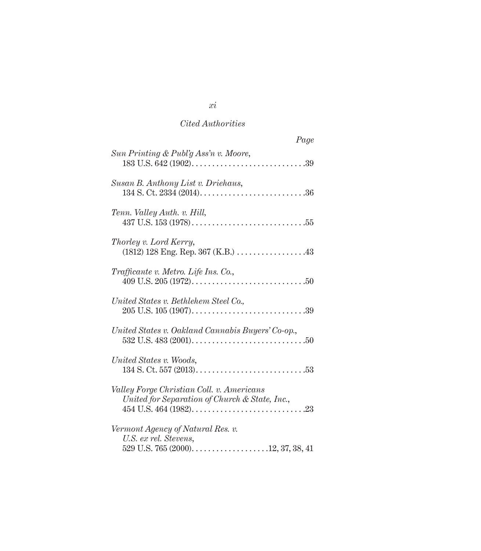| Page                                                                                        |
|---------------------------------------------------------------------------------------------|
| Sun Printing & Publ'g Ass'n v. Moore,                                                       |
| Susan B. Anthony List v. Driehaus,                                                          |
| Tenn. Valley Auth. v. Hill,                                                                 |
| Thorley v. Lord Kerry,<br>$(1812)$ 128 Eng. Rep. 367 (K.B.) 43                              |
| Trafficante v. Metro. Life Ins. Co.,                                                        |
| United States v. Bethlehem Steel Co.,                                                       |
| United States v. Oakland Cannabis Buyers' Co-op.,                                           |
| United States v. Woods,                                                                     |
| Valley Forge Christian Coll. v. Americans<br>United for Separation of Church & State, Inc., |
| Vermont Agency of Natural Res. v.<br>U.S. ex rel. Stevens,                                  |

*xi*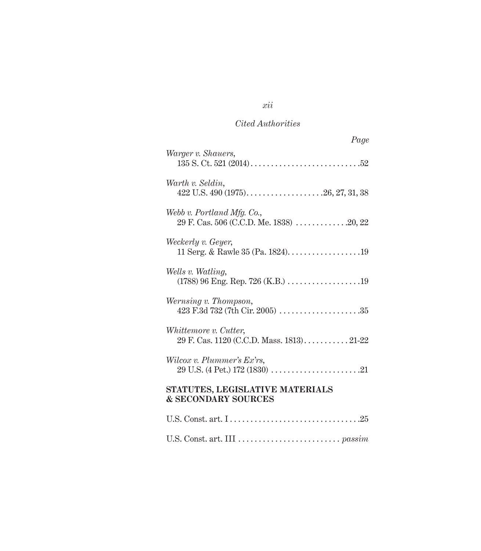| Page                                                                  |
|-----------------------------------------------------------------------|
| Warger v. Shauers,                                                    |
| Warth v. Seldin,                                                      |
| Webb v. Portland Mfg. Co.,<br>29 F. Cas. 506 (C.C.D. Me. 1838) 20, 22 |
| Weckerly v. Geyer,                                                    |
| Wells v. Watling,                                                     |
| Wernsing v. Thompson,                                                 |
| Whittemore v. Cutter,<br>29 F. Cas. 1120 (C.C.D. Mass. 1813)21-22     |
| Wilcox v. Plummer's Ex'rs,                                            |
| STATUTES, LEGISLATIVE MATERIALS<br><b>&amp; SECONDARY SOURCES</b>     |
|                                                                       |
|                                                                       |

*xii*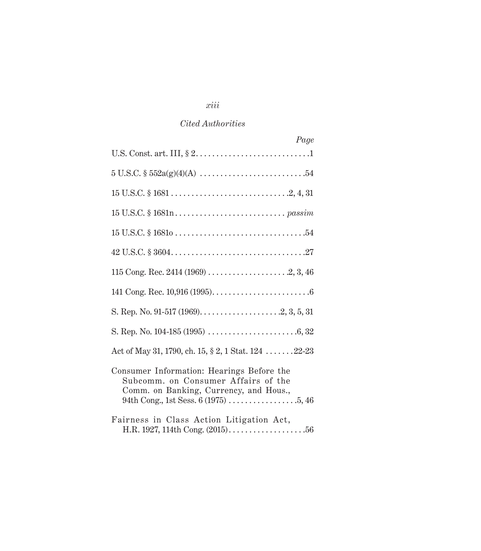## *xiii*

#### *Cited Authorities*

| Page                                                                                                                       |
|----------------------------------------------------------------------------------------------------------------------------|
|                                                                                                                            |
|                                                                                                                            |
|                                                                                                                            |
|                                                                                                                            |
|                                                                                                                            |
|                                                                                                                            |
|                                                                                                                            |
|                                                                                                                            |
|                                                                                                                            |
|                                                                                                                            |
| Act of May 31, 1790, ch. 15, § 2, 1 Stat. 124 22-23                                                                        |
| Consumer Information: Hearings Before the<br>Subcomm. on Consumer Affairs of the<br>Comm. on Banking, Currency, and Hous., |
| Fairness in Class Action Litigation Act,                                                                                   |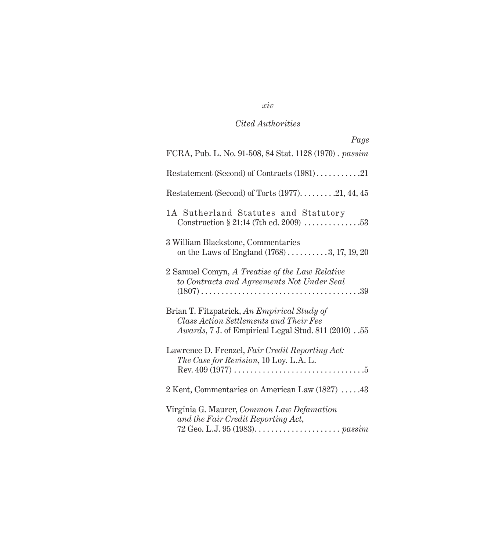## *xiv*

## *Cited Authorities*

| Page                                                                                                                                                |
|-----------------------------------------------------------------------------------------------------------------------------------------------------|
| FCRA, Pub. L. No. 91-508, 84 Stat. 1128 (1970). passim                                                                                              |
| Restatement (Second) of Contracts (1981)21                                                                                                          |
| Restatement (Second) of Torts $(1977)$ 21, 44, 45                                                                                                   |
| 1A Sutherland Statutes and Statutory<br>Construction $\S 21:14$ (7th ed. 2009) 53                                                                   |
| 3 William Blackstone, Commentaries<br>on the Laws of England $(1768)$ 3, 17, 19, 20                                                                 |
| 2 Samuel Comyn, A Treatise of the Law Relative<br>to Contracts and Agreements Not Under Seal                                                        |
| Brian T. Fitzpatrick, An Empirical Study of<br>Class Action Settlements and Their Fee<br><i>Awards</i> , 7 J. of Empirical Legal Stud. 811 (2010)55 |
| Lawrence D. Frenzel, Fair Credit Reporting Act:<br>The Case for Revision, 10 Loy. L.A. L.                                                           |
| 2 Kent, Commentaries on American Law (1827) 43                                                                                                      |
| Virginia G. Maurer, Common Law Defamation<br>and the Fair Credit Reporting Act,                                                                     |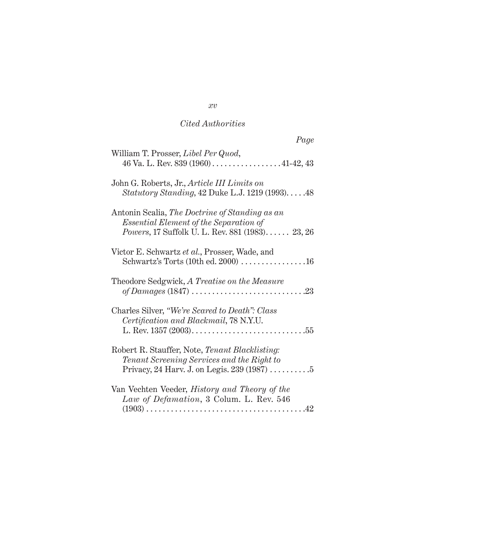| Page                                                                                                                                         |
|----------------------------------------------------------------------------------------------------------------------------------------------|
| William T. Prosser, Libel Per Quod,<br>46 Va. L. Rev. 839 (1960) $\dots$ 41-42, 43                                                           |
| John G. Roberts, Jr., Article III Limits on<br>Statutory Standing, 42 Duke L.J. 1219 (1993)48                                                |
| Antonin Scalia, The Doctrine of Standing as an<br>Essential Element of the Separation of<br>Powers, 17 Suffolk U. L. Rev. 881 (1983) 23, 26  |
| Victor E. Schwartz et al., Prosser, Wade, and<br>Schwartz's Torts (10th ed. 2000) 16                                                         |
| Theodore Sedgwick, A Treatise on the Measure                                                                                                 |
| Charles Silver, "We're Scared to Death": Class<br>Certification and Blackmail, 78 N.Y.U.                                                     |
| Robert R. Stauffer, Note, Tenant Blacklisting:<br>Tenant Screening Services and the Right to<br>Privacy, 24 Harv. J. on Legis. $239(1987)$ 5 |
| Van Vechten Veeder, History and Theory of the<br>Law of Defamation, 3 Colum. L. Rev. 546                                                     |

*xv*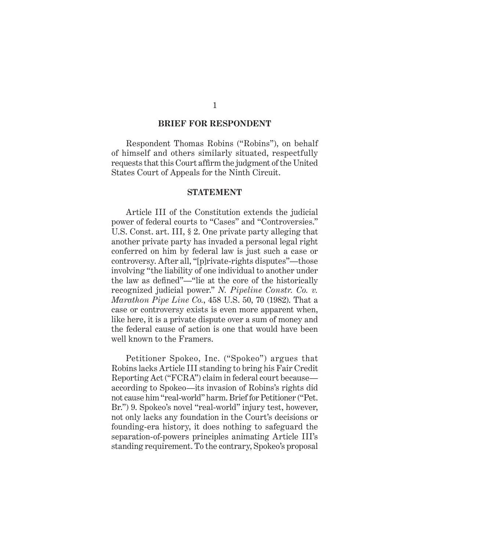#### **BRIEF FOR RESPONDENT**

Respondent Thomas Robins ("Robins"), on behalf of himself and others similarly situated, respectfully requests that this Court affirm the judgment of the United States Court of Appeals for the Ninth Circuit.

#### **STATEMENT**

Article III of the Constitution extends the judicial power of federal courts to "Cases" and "Controversies." U.S. Const. art. III, § 2. One private party alleging that another private party has invaded a personal legal right conferred on him by federal law is just such a case or controversy. After all, "[p]rivate-rights disputes"—those involving "the liability of one individual to another under the law as defined"—"lie at the core of the historically recognized judicial power." *N. Pipeline Constr. Co. v. Marathon Pipe Line Co.*, 458 U.S. 50, 70 (1982). That a case or controversy exists is even more apparent when, like here, it is a private dispute over a sum of money and the federal cause of action is one that would have been well known to the Framers.

Petitioner Spokeo, Inc. ("Spokeo") argues that Robins lacks Article III standing to bring his Fair Credit Reporting Act ("FCRA") claim in federal court because according to Spokeo—its invasion of Robins's rights did not cause him "real-world" harm. Brief for Petitioner ("Pet. Br.") 9. Spokeo's novel "real-world" injury test, however, not only lacks any foundation in the Court's decisions or founding-era history, it does nothing to safeguard the separation-of-powers principles animating Article III's standing requirement. To the contrary, Spokeo's proposal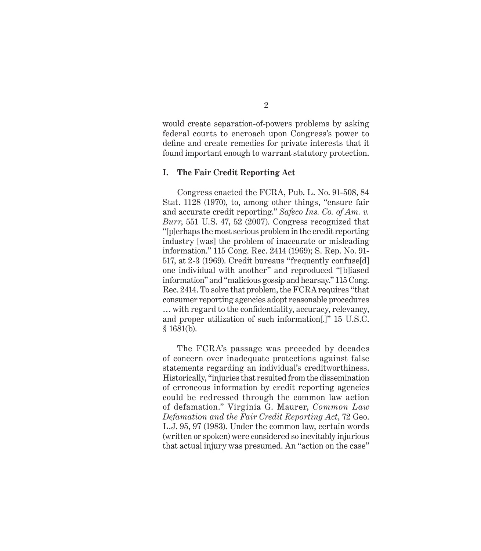would create separation-of-powers problems by asking federal courts to encroach upon Congress's power to define and create remedies for private interests that it found important enough to warrant statutory protection.

#### **I. The Fair Credit Reporting Act**

Congress enacted the FCRA, Pub. L. No. 91-508, 84 Stat. 1128 (1970), to, among other things, "ensure fair and accurate credit reporting." *Safeco Ins. Co. of Am. v. Burr*, 551 U.S. 47, 52 (2007). Congress recognized that "[p]erhaps the most serious problem in the credit reporting industry [was] the problem of inaccurate or misleading information." 115 Cong. Rec. 2414 (1969); S. Rep. No. 91- 517, at 2-3 (1969). Credit bureaus "frequently confuse[d] one individual with another" and reproduced "[b]iased information" and "malicious gossip and hearsay." 115 Cong. Rec. 2414. To solve that problem, the FCRA requires "that consumer reporting agencies adopt reasonable procedures ... with regard to the confidentiality, accuracy, relevancy, and proper utilization of such information[.]" 15 U.S.C. § 1681(b).

The FCRA's passage was preceded by decades of concern over inadequate protections against false statements regarding an individual's creditworthiness. Historically, "injuries that resulted from the dissemination of erroneous information by credit reporting agencies could be redressed through the common law action of defamation." Virginia G. Maurer, *Common Law Defamation and the Fair Credit Reporting Act*, 72 Geo. L.J. 95, 97 (1983). Under the common law, certain words (written or spoken) were considered so inevitably injurious that actual injury was presumed. An "action on the case"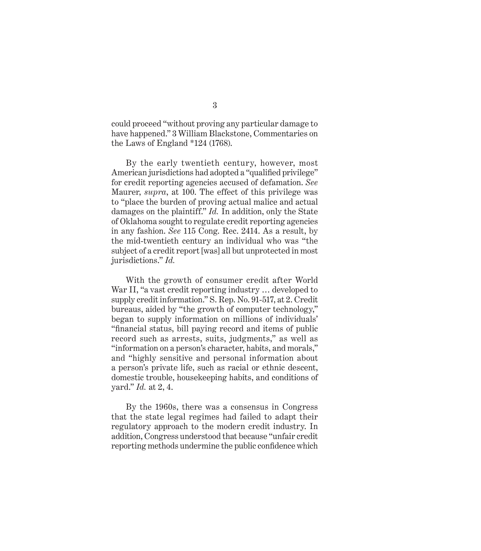could proceed "without proving any particular damage to have happened." 3 William Blackstone, Commentaries on the Laws of England \*124 (1768).

By the early twentieth century, however, most American jurisdictions had adopted a "qualified privilege" for credit reporting agencies accused of defamation. *See*  Maurer, *supra*, at 100. The effect of this privilege was to "place the burden of proving actual malice and actual damages on the plaintiff." *Id.* In addition, only the State of Oklahoma sought to regulate credit reporting agencies in any fashion. *See* 115 Cong. Rec. 2414. As a result, by the mid-twentieth century an individual who was "the subject of a credit report [was] all but unprotected in most jurisdictions." *Id.*

With the growth of consumer credit after World War II, "a vast credit reporting industry … developed to supply credit information." S. Rep. No. 91-517, at 2. Credit bureaus, aided by "the growth of computer technology," began to supply information on millions of individuals' "financial status, bill paying record and items of public record such as arrests, suits, judgments," as well as "information on a person's character, habits, and morals," and "highly sensitive and personal information about a person's private life, such as racial or ethnic descent, domestic trouble, housekeeping habits, and conditions of yard." *Id.* at 2, 4.

By the 1960s, there was a consensus in Congress that the state legal regimes had failed to adapt their regulatory approach to the modern credit industry. In addition, Congress understood that because "unfair credit reporting methods undermine the public confidence which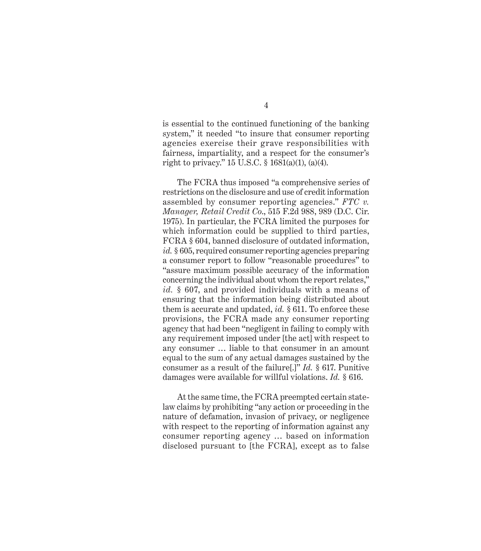is essential to the continued functioning of the banking system," it needed "to insure that consumer reporting agencies exercise their grave responsibilities with fairness, impartiality, and a respect for the consumer's right to privacy." 15 U.S.C. § 1681(a)(1), (a)(4).

The FCRA thus imposed "a comprehensive series of restrictions on the disclosure and use of credit information assembled by consumer reporting agencies." *FTC v. Manager, Retail Credit Co*., 515 F.2d 988, 989 (D.C. Cir. 1975). In particular, the FCRA limited the purposes for which information could be supplied to third parties, FCRA § 604, banned disclosure of outdated information, *id.* § 605, required consumer reporting agencies preparing a consumer report to follow "reasonable procedures" to "assure maximum possible accuracy of the information concerning the individual about whom the report relates," *id.* § 607, and provided individuals with a means of ensuring that the information being distributed about them is accurate and updated, *id.* § 611. To enforce these provisions, the FCRA made any consumer reporting agency that had been "negligent in failing to comply with any requirement imposed under [the act] with respect to any consumer … liable to that consumer in an amount equal to the sum of any actual damages sustained by the consumer as a result of the failure[.]" *Id.* § 617. Punitive damages were available for willful violations. *Id.* § 616.

At the same time, the FCRA preempted certain statelaw claims by prohibiting "any action or proceeding in the nature of defamation, invasion of privacy, or negligence with respect to the reporting of information against any consumer reporting agency … based on information disclosed pursuant to [the FCRA], except as to false

4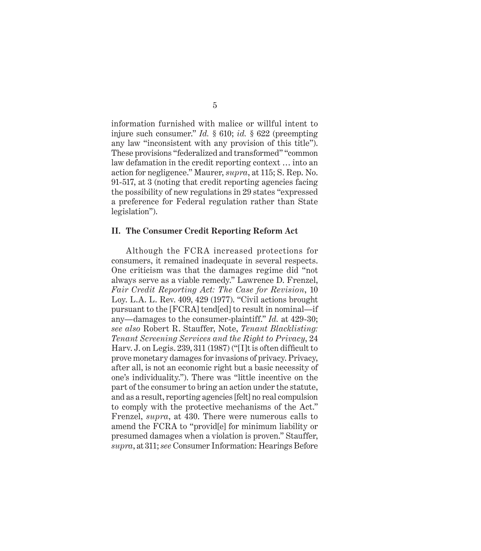information furnished with malice or willful intent to injure such consumer." *Id.* § 610; *id.* § 622 (preempting any law "inconsistent with any provision of this title"). These provisions "federalized and transformed" "common law defamation in the credit reporting context … into an action for negligence." Maurer, *supra*, at 115; S. Rep. No. 91-517, at 3 (noting that credit reporting agencies facing the possibility of new regulations in 29 states "expressed a preference for Federal regulation rather than State legislation").

#### **II. The Consumer Credit Reporting Reform Act**

Although the FCRA increased protections for consumers, it remained inadequate in several respects. One criticism was that the damages regime did "not always serve as a viable remedy." Lawrence D. Frenzel, *Fair Credit Reporting Act: The Case for Revision*, 10 Loy. L.A. L. Rev. 409, 429 (1977). "Civil actions brought pursuant to the [FCRA] tend[ed] to result in nominal—if any—damages to the consumer-plaintiff." *Id.* at 429-30; *see also* Robert R. Stauffer, Note, *Tenant Blacklisting: Tenant Screening Services and the Right to Privacy*, 24 Harv. J. on Legis.  $239, 311$  (1987) ("[I]t is often difficult to prove monetary damages for invasions of privacy. Privacy, after all, is not an economic right but a basic necessity of one's individuality."). There was "little incentive on the part of the consumer to bring an action under the statute, and as a result, reporting agencies [felt] no real compulsion to comply with the protective mechanisms of the Act." Frenzel, *supra*, at 430. There were numerous calls to amend the FCRA to "provid[e] for minimum liability or presumed damages when a violation is proven." Stauffer, *supra*, at 311; *see* Consumer Information: Hearings Before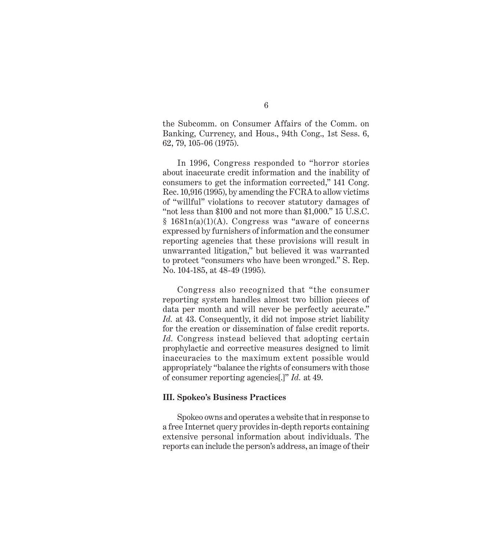the Subcomm. on Consumer Affairs of the Comm. on Banking, Currency, and Hous., 94th Cong., 1st Sess. 6, 62, 79, 105-06 (1975).

In 1996, Congress responded to "horror stories about inaccurate credit information and the inability of consumers to get the information corrected," 141 Cong. Rec. 10,916 (1995), by amending the FCRA to allow victims of "willful" violations to recover statutory damages of "not less than \$100 and not more than \$1,000." 15 U.S.C.  $§$  1681n(a)(1)(A). Congress was "aware of concerns expressed by furnishers of information and the consumer reporting agencies that these provisions will result in unwarranted litigation," but believed it was warranted to protect "consumers who have been wronged." S. Rep. No. 104-185, at 48-49 (1995).

Congress also recognized that "the consumer reporting system handles almost two billion pieces of data per month and will never be perfectly accurate." Id. at 43. Consequently, it did not impose strict liability for the creation or dissemination of false credit reports. *Id.* Congress instead believed that adopting certain prophylactic and corrective measures designed to limit inaccuracies to the maximum extent possible would appropriately "balance the rights of consumers with those of consumer reporting agencies[.]" *Id.* at 49.

#### **III. Spokeo's Business Practices**

Spokeo owns and operates a website that in response to a free Internet query provides in-depth reports containing extensive personal information about individuals. The reports can include the person's address, an image of their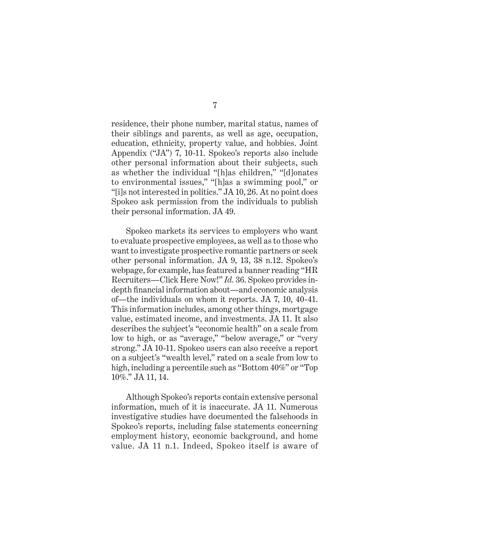residence, their phone number, marital status, names of their siblings and parents, as well as age, occupation, education, ethnicity, property value, and hobbies. Joint Appendix ("JA") 7, 10-11. Spokeo's reports also include other personal information about their subjects, such as whether the individual "[h]as children," "[d]onates to environmental issues," "[h]as a swimming pool," or "[i]s not interested in politics." JA 10, 26. At no point does Spokeo ask permission from the individuals to publish their personal information. JA 49.

Spokeo markets its services to employers who want to evaluate prospective employees, as well as to those who want to investigate prospective romantic partners or seek other personal information. JA 9, 13, 38 n.12. Spokeo's webpage, for example, has featured a banner reading "HR Recruiters—Click Here Now!" *Id.* 36. Spokeo provides indepth financial information about—and economic analysis of—the individuals on whom it reports. JA 7, 10, 40-41. This information includes, among other things, mortgage value, estimated income, and investments. JA 11. It also describes the subject's "economic health" on a scale from low to high, or as "average," "below average," or "very strong." JA 10-11. Spokeo users can also receive a report on a subject's "wealth level," rated on a scale from low to high, including a percentile such as "Bottom 40%" or "Top 10%." JA 11, 14.

Although Spokeo's reports contain extensive personal information, much of it is inaccurate. JA 11. Numerous investigative studies have documented the falsehoods in Spokeo's reports, including false statements concerning employment history, economic background, and home value. JA 11 n.1. Indeed, Spokeo itself is aware of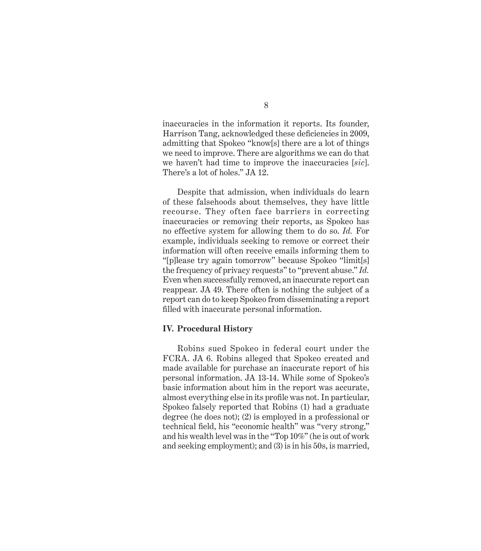inaccuracies in the information it reports. Its founder, Harrison Tang, acknowledged these deficiencies in 2009, admitting that Spokeo "know[s] there are a lot of things we need to improve. There are algorithms we can do that we haven't had time to improve the inaccuracies [*sic*]. There's a lot of holes." JA 12.

Despite that admission, when individuals do learn of these falsehoods about themselves, they have little recourse. They often face barriers in correcting inaccuracies or removing their reports, as Spokeo has no effective system for allowing them to do so. *Id.* For example, individuals seeking to remove or correct their information will often receive emails informing them to "[p]lease try again tomorrow" because Spokeo "limit[s] the frequency of privacy requests" to "prevent abuse." *Id.* Even when successfully removed, an inaccurate report can reappear. JA 49. There often is nothing the subject of a report can do to keep Spokeo from disseminating a report filled with inaccurate personal information.

#### **IV. Procedural History**

Robins sued Spokeo in federal court under the FCRA. JA 6. Robins alleged that Spokeo created and made available for purchase an inaccurate report of his personal information. JA 13-14. While some of Spokeo's basic information about him in the report was accurate, almost everything else in its profile was not. In particular, Spokeo falsely reported that Robins (1) had a graduate degree (he does not); (2) is employed in a professional or technical field, his "economic health" was "very strong," and his wealth level was in the "Top 10%" (he is out of work and seeking employment); and (3) is in his 50s, is married,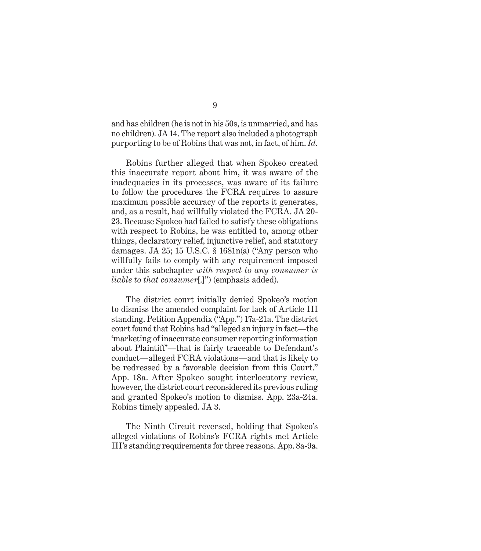and has children (he is not in his 50s, is unmarried, and has no children). JA 14. The report also included a photograph purporting to be of Robins that was not, in fact, of him. *Id.*

Robins further alleged that when Spokeo created this inaccurate report about him, it was aware of the inadequacies in its processes, was aware of its failure to follow the procedures the FCRA requires to assure maximum possible accuracy of the reports it generates, and, as a result, had willfully violated the FCRA. JA 20- 23. Because Spokeo had failed to satisfy these obligations with respect to Robins, he was entitled to, among other things, declaratory relief, injunctive relief, and statutory damages. JA  $25$ ; 15 U.S.C. § 1681n(a) ("Any person who willfully fails to comply with any requirement imposed under this subchapter *with respect to any consumer is liable to that consumer*[.]") (emphasis added).

The district court initially denied Spokeo's motion to dismiss the amended complaint for lack of Article III standing. Petition Appendix ("App.") 17a-21a. The district court found that Robins had "alleged an injury in fact—the 'marketing of inaccurate consumer reporting information about Plaintiff'—that is fairly traceable to Defendant's conduct—alleged FCRA violations—and that is likely to be redressed by a favorable decision from this Court." App. 18a. After Spokeo sought interlocutory review, however, the district court reconsidered its previous ruling and granted Spokeo's motion to dismiss. App. 23a-24a. Robins timely appealed. JA 3.

The Ninth Circuit reversed, holding that Spokeo's alleged violations of Robins's FCRA rights met Article III's standing requirements for three reasons. App. 8a-9a.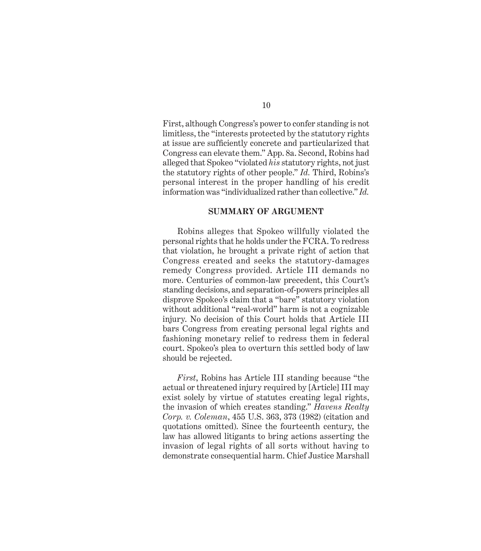First, although Congress's power to confer standing is not limitless, the "interests protected by the statutory rights at issue are sufficiently concrete and particularized that Congress can elevate them." App. 8a. Second, Robins had alleged that Spokeo "violated *his* statutory rights, not just the statutory rights of other people." *Id.* Third, Robins's personal interest in the proper handling of his credit information was "individualized rather than collective." *Id.*

#### **SUMMARY OF ARGUMENT**

Robins alleges that Spokeo willfully violated the personal rights that he holds under the FCRA. To redress that violation, he brought a private right of action that Congress created and seeks the statutory-damages remedy Congress provided. Article III demands no more. Centuries of common-law precedent, this Court's standing decisions, and separation-of-powers principles all disprove Spokeo's claim that a "bare" statutory violation without additional "real-world" harm is not a cognizable injury. No decision of this Court holds that Article III bars Congress from creating personal legal rights and fashioning monetary relief to redress them in federal court. Spokeo's plea to overturn this settled body of law should be rejected.

*First*, Robins has Article III standing because "the actual or threatened injury required by [Article] III may exist solely by virtue of statutes creating legal rights, the invasion of which creates standing." *Havens Realty Corp. v. Coleman*, 455 U.S. 363, 373 (1982) (citation and quotations omitted). Since the fourteenth century, the law has allowed litigants to bring actions asserting the invasion of legal rights of all sorts without having to demonstrate consequential harm. Chief Justice Marshall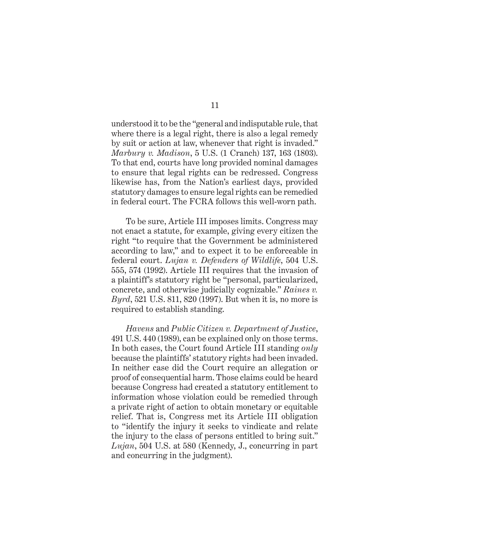understood it to be the "general and indisputable rule, that where there is a legal right, there is also a legal remedy by suit or action at law, whenever that right is invaded." *Marbury v. Madison*, 5 U.S. (1 Cranch) 137, 163 (1803). To that end, courts have long provided nominal damages to ensure that legal rights can be redressed. Congress likewise has, from the Nation's earliest days, provided statutory damages to ensure legal rights can be remedied in federal court. The FCRA follows this well-worn path.

To be sure, Article III imposes limits. Congress may not enact a statute, for example, giving every citizen the right "to require that the Government be administered according to law," and to expect it to be enforceable in federal court. *Lujan v. Defenders of Wildlife*, 504 U.S. 555, 574 (1992). Article III requires that the invasion of a plaintiff's statutory right be "personal, particularized, concrete, and otherwise judicially cognizable." *Raines v. Byrd*, 521 U.S. 811, 820 (1997). But when it is, no more is required to establish standing.

*Havens* and *Public Citizen v. Department of Justice*, 491 U.S. 440 (1989), can be explained only on those terms. In both cases, the Court found Article III standing *only*  because the plaintiffs' statutory rights had been invaded. In neither case did the Court require an allegation or proof of consequential harm. Those claims could be heard because Congress had created a statutory entitlement to information whose violation could be remedied through a private right of action to obtain monetary or equitable relief. That is, Congress met its Article III obligation to "identify the injury it seeks to vindicate and relate the injury to the class of persons entitled to bring suit." *Lujan*, 504 U.S. at 580 (Kennedy, J., concurring in part and concurring in the judgment).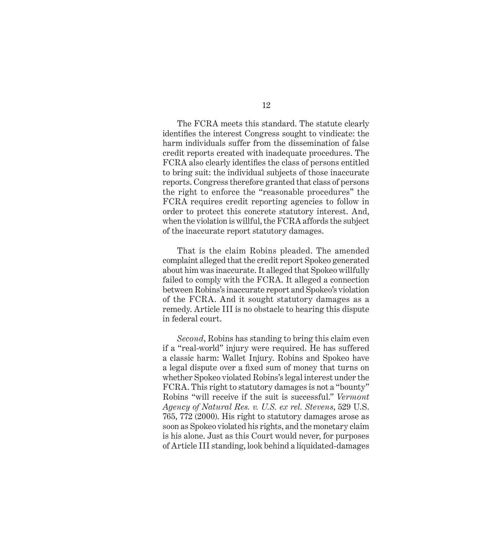The FCRA meets this standard. The statute clearly identifies the interest Congress sought to vindicate: the harm individuals suffer from the dissemination of false credit reports created with inadequate procedures. The FCRA also clearly identifies the class of persons entitled to bring suit: the individual subjects of those inaccurate reports. Congress therefore granted that class of persons the right to enforce the "reasonable procedures" the FCRA requires credit reporting agencies to follow in order to protect this concrete statutory interest. And, when the violation is willful, the FCRA affords the subject of the inaccurate report statutory damages.

That is the claim Robins pleaded. The amended complaint alleged that the credit report Spokeo generated about him was inaccurate. It alleged that Spokeo willfully failed to comply with the FCRA. It alleged a connection between Robins's inaccurate report and Spokeo's violation of the FCRA. And it sought statutory damages as a remedy. Article III is no obstacle to hearing this dispute in federal court.

*Second*, Robins has standing to bring this claim even if a "real-world" injury were required. He has suffered a classic harm: Wallet Injury. Robins and Spokeo have a legal dispute over a fixed sum of money that turns on whether Spokeo violated Robins's legal interest under the FCRA. This right to statutory damages is not a "bounty" Robins "will receive if the suit is successful." *Vermont Agency of Natural Res. v. U.S. ex rel. Stevens*, 529 U.S. 765, 772 (2000). His right to statutory damages arose as soon as Spokeo violated his rights, and the monetary claim is his alone. Just as this Court would never, for purposes of Article III standing, look behind a liquidated-damages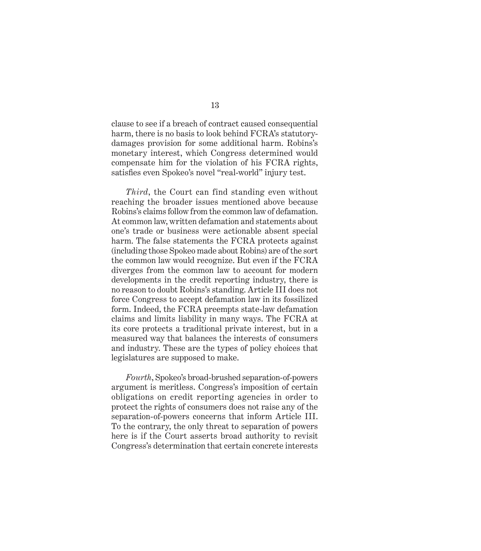clause to see if a breach of contract caused consequential harm, there is no basis to look behind FCRA's statutorydamages provision for some additional harm. Robins's monetary interest, which Congress determined would compensate him for the violation of his FCRA rights, satisfies even Spokeo's novel "real-world" injury test.

*Third*, the Court can find standing even without reaching the broader issues mentioned above because Robins's claims follow from the common law of defamation. At common law, written defamation and statements about one's trade or business were actionable absent special harm. The false statements the FCRA protects against (including those Spokeo made about Robins) are of the sort the common law would recognize. But even if the FCRA diverges from the common law to account for modern developments in the credit reporting industry, there is no reason to doubt Robins's standing. Article III does not force Congress to accept defamation law in its fossilized form. Indeed, the FCRA preempts state-law defamation claims and limits liability in many ways. The FCRA at its core protects a traditional private interest, but in a measured way that balances the interests of consumers and industry. These are the types of policy choices that legislatures are supposed to make.

*Fourth*, Spokeo's broad-brushed separation-of-powers argument is meritless. Congress's imposition of certain obligations on credit reporting agencies in order to protect the rights of consumers does not raise any of the separation-of-powers concerns that inform Article III. To the contrary, the only threat to separation of powers here is if the Court asserts broad authority to revisit Congress's determination that certain concrete interests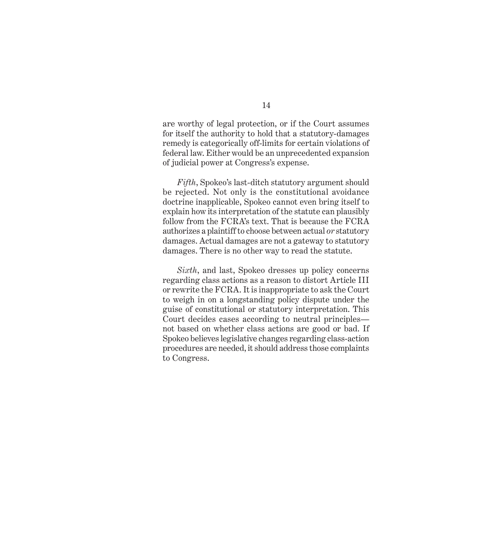are worthy of legal protection, or if the Court assumes for itself the authority to hold that a statutory-damages remedy is categorically off-limits for certain violations of federal law. Either would be an unprecedented expansion of judicial power at Congress's expense.

*Fifth*, Spokeo's last-ditch statutory argument should be rejected. Not only is the constitutional avoidance doctrine inapplicable, Spokeo cannot even bring itself to explain how its interpretation of the statute can plausibly follow from the FCRA's text. That is because the FCRA authorizes a plaintiff to choose between actual *or* statutory damages. Actual damages are not a gateway to statutory damages. There is no other way to read the statute.

*Sixth*, and last, Spokeo dresses up policy concerns regarding class actions as a reason to distort Article III or rewrite the FCRA. It is inappropriate to ask the Court to weigh in on a longstanding policy dispute under the guise of constitutional or statutory interpretation. This Court decides cases according to neutral principles not based on whether class actions are good or bad. If Spokeo believes legislative changes regarding class-action procedures are needed, it should address those complaints to Congress.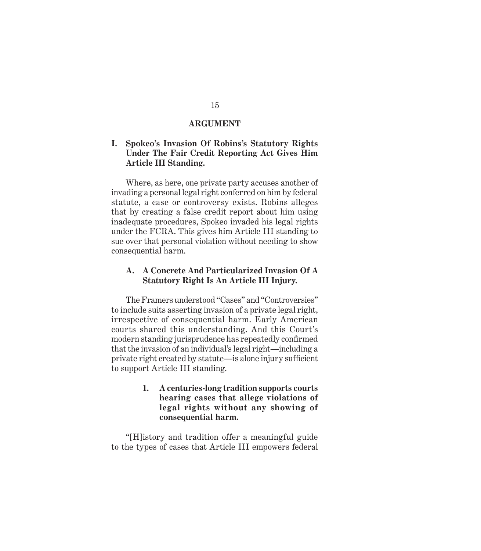#### **ARGUMENT**

#### **I. Spokeo's Invasion Of Robins's Statutory Rights Under The Fair Credit Reporting Act Gives Him Article III Standing.**

Where, as here, one private party accuses another of invading a personal legal right conferred on him by federal statute, a case or controversy exists. Robins alleges that by creating a false credit report about him using inadequate procedures, Spokeo invaded his legal rights under the FCRA. This gives him Article III standing to sue over that personal violation without needing to show consequential harm.

#### **A. A Concrete And Particularized Invasion Of A Statutory Right Is An Article III Injury.**

The Framers understood "Cases" and "Controversies" to include suits asserting invasion of a private legal right, irrespective of consequential harm. Early American courts shared this understanding. And this Court's modern standing jurisprudence has repeatedly confirmed that the invasion of an individual's legal right—including a private right created by statute—is alone injury sufficient to support Article III standing.

> **1. A centuries-long tradition supports courts hearing cases that allege violations of legal rights without any showing of consequential harm.**

"[H]istory and tradition offer a meaningful guide to the types of cases that Article III empowers federal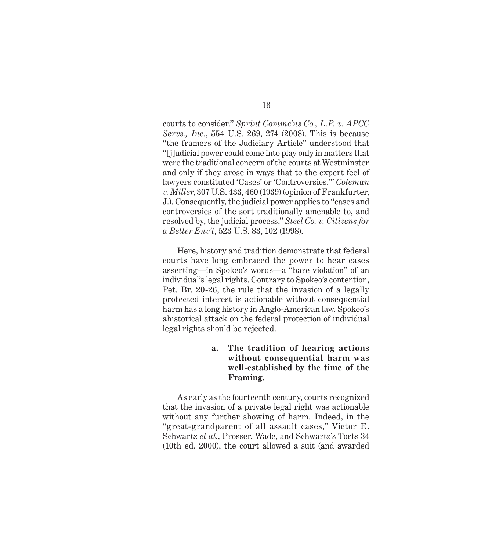courts to consider." *Sprint Commc'ns Co., L.P. v. APCC Servs., Inc.*, 554 U.S. 269, 274 (2008). This is because "the framers of the Judiciary Article" understood that "[j]udicial power could come into play only in matters that were the traditional concern of the courts at Westminster and only if they arose in ways that to the expert feel of lawyers constituted 'Cases' or 'Controversies.'" *Coleman v. Miller*, 307 U.S. 433, 460 (1939) (opinion of Frankfurter, J.). Consequently, the judicial power applies to "cases and controversies of the sort traditionally amenable to, and resolved by, the judicial process." *Steel Co. v. Citizens for a Better Env't*, 523 U.S. 83, 102 (1998).

Here, history and tradition demonstrate that federal courts have long embraced the power to hear cases asserting—in Spokeo's words—a "bare violation" of an individual's legal rights. Contrary to Spokeo's contention, Pet. Br. 20-26, the rule that the invasion of a legally protected interest is actionable without consequential harm has a long history in Anglo-American law. Spokeo's ahistorical attack on the federal protection of individual legal rights should be rejected.

> **a. The tradition of hearing actions without consequential harm was well-established by the time of the Framing.**

As early as the fourteenth century, courts recognized that the invasion of a private legal right was actionable without any further showing of harm. Indeed, in the "great-grandparent of all assault cases," Victor E. Schwartz *et al.*, Prosser, Wade, and Schwartz's Torts 34 (10th ed. 2000), the court allowed a suit (and awarded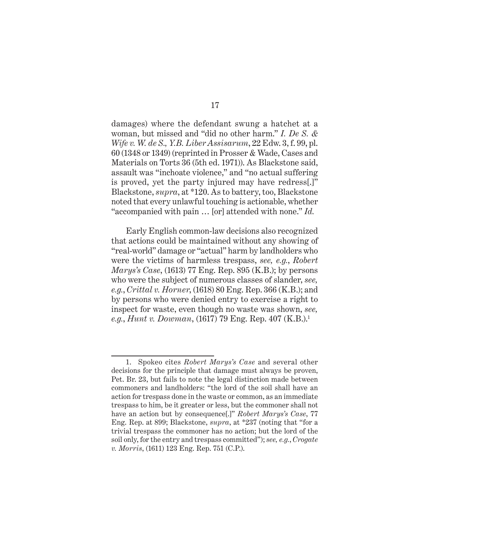damages) where the defendant swung a hatchet at a woman, but missed and "did no other harm." *I. De S. & Wife v. W. de S., Y.B. Liber Assisarum*, 22 Edw. 3, f. 99, pl. 60 (1348 or 1349) (reprinted in Prosser & Wade, Cases and Materials on Torts 36 (5th ed. 1971)). As Blackstone said, assault was "inchoate violence," and "no actual suffering is proved, yet the party injured may have redress[.]" Blackstone, *supra*, at \*120. As to battery, too, Blackstone noted that every unlawful touching is actionable, whether "accompanied with pain … [or] attended with none." *Id.*

Early English common-law decisions also recognized that actions could be maintained without any showing of "real-world" damage or "actual" harm by landholders who were the victims of harmless trespass, *see, e.g.*, *Robert Marys's Case*, (1613) 77 Eng. Rep. 895 (K.B.); by persons who were the subject of numerous classes of slander, *see, e.g.*, *Crittal v. Horner*, (1618) 80 Eng. Rep. 366 (K.B.); and by persons who were denied entry to exercise a right to inspect for waste, even though no waste was shown, *see, e.g., Hunt v. Dowman,* (1617) 79 Eng. Rep. 407 (K.B.).<sup>1</sup>

<sup>1.</sup> Spokeo cites *Robert Marys's Case* and several other decisions for the principle that damage must always be proven, Pet. Br. 23, but fails to note the legal distinction made between commoners and landholders: "the lord of the soil shall have an action for trespass done in the waste or common, as an immediate trespass to him, be it greater or less, but the commoner shall not have an action but by consequence[.]" *Robert Marys's Case*, 77 Eng. Rep. at 899; Blackstone, *supra*, at \*237 (noting that "for a trivial trespass the commoner has no action; but the lord of the soil only, for the entry and trespass committed"); *see, e.g.*, *Crogate v. Morris*, (1611) 123 Eng. Rep. 751 (C.P.).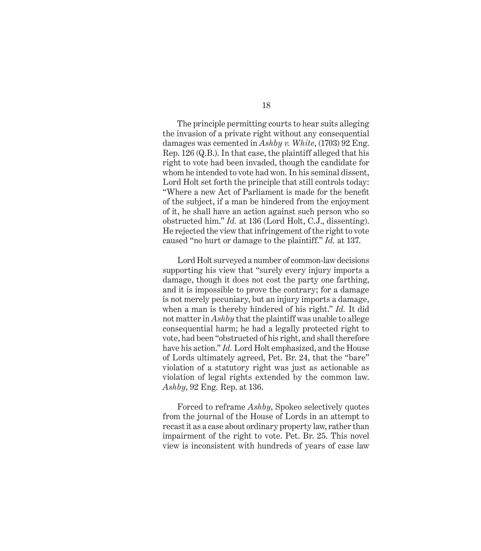The principle permitting courts to hear suits alleging the invasion of a private right without any consequential damages was cemented in *Ashby v. White*, (1703) 92 Eng. Rep. 126 (Q.B.). In that case, the plaintiff alleged that his right to vote had been invaded, though the candidate for whom he intended to vote had won. In his seminal dissent, Lord Holt set forth the principle that still controls today: "Where a new Act of Parliament is made for the benefit of the subject, if a man be hindered from the enjoyment of it, he shall have an action against such person who so obstructed him." *Id.* at 136 (Lord Holt, C.J., dissenting). He rejected the view that infringement of the right to vote caused "no hurt or damage to the plaintiff." *Id.* at 137.

Lord Holt surveyed a number of common-law decisions supporting his view that "surely every injury imports a damage, though it does not cost the party one farthing, and it is impossible to prove the contrary; for a damage is not merely pecuniary, but an injury imports a damage, when a man is thereby hindered of his right." *Id.* It did not matter in *Ashby* that the plaintiff was unable to allege consequential harm; he had a legally protected right to vote, had been "obstructed of his right, and shall therefore have his action." *Id.* Lord Holt emphasized, and the House of Lords ultimately agreed, Pet. Br. 24, that the "bare" violation of a statutory right was just as actionable as violation of legal rights extended by the common law. *Ashby*, 92 Eng. Rep. at 136.

Forced to reframe *Ashby*, Spokeo selectively quotes from the journal of the House of Lords in an attempt to recast it as a case about ordinary property law, rather than impairment of the right to vote. Pet. Br. 25. This novel view is inconsistent with hundreds of years of case law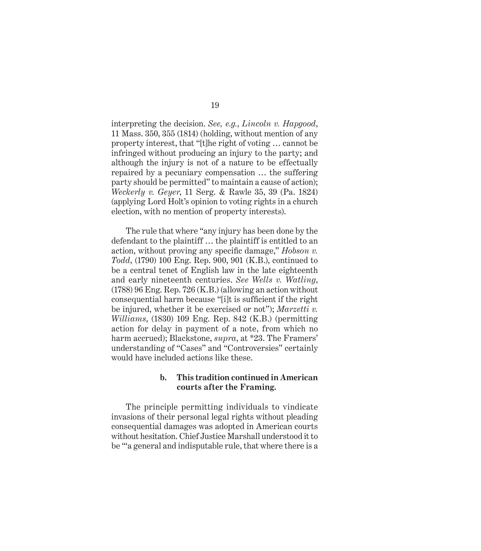interpreting the decision. *See, e.g.*, *Lincoln v. Hapgood*, 11 Mass. 350, 355 (1814) (holding, without mention of any property interest, that "[t]he right of voting … cannot be infringed without producing an injury to the party; and although the injury is not of a nature to be effectually repaired by a pecuniary compensation … the suffering party should be permitted" to maintain a cause of action); *Weckerly v. Geyer*, 11 Serg. & Rawle 35, 39 (Pa. 1824) (applying Lord Holt's opinion to voting rights in a church election, with no mention of property interests).

The rule that where "any injury has been done by the defendant to the plaintiff … the plaintiff is entitled to an action, without proving any specific damage," *Hobson v. Todd*, (1790) 100 Eng. Rep. 900, 901 (K.B.), continued to be a central tenet of English law in the late eighteenth and early nineteenth centuries. *See Wells v. Watling*, (1788) 96 Eng. Rep. 726 (K.B.) (allowing an action without consequential harm because "[i]t is sufficient if the right be injured, whether it be exercised or not"); *Marzetti v. Williams*, (1830) 109 Eng. Rep. 842 (K.B.) (permitting action for delay in payment of a note, from which no harm accrued); Blackstone, *supra*, at \*23. The Framers' understanding of "Cases" and "Controversies" certainly would have included actions like these.

#### **b. This tradition continued in American courts after the Framing.**

The principle permitting individuals to vindicate invasions of their personal legal rights without pleading consequential damages was adopted in American courts without hesitation. Chief Justice Marshall understood it to be "'a general and indisputable rule, that where there is a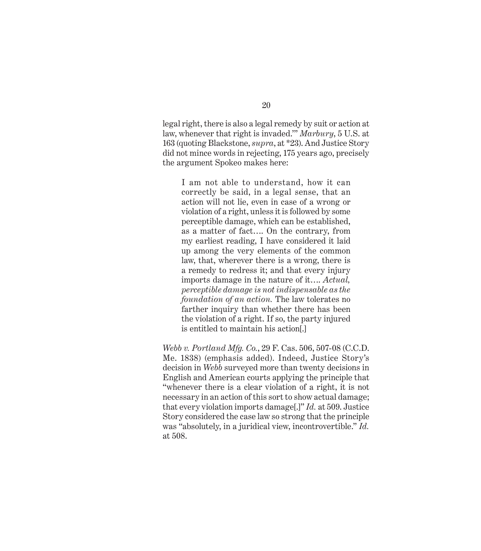legal right, there is also a legal remedy by suit or action at law, whenever that right is invaded.'" *Marbury*, 5 U.S. at 163 (quoting Blackstone, *supra*, at \*23). And Justice Story did not mince words in rejecting, 175 years ago, precisely the argument Spokeo makes here:

I am not able to understand, how it can correctly be said, in a legal sense, that an action will not lie, even in case of a wrong or violation of a right, unless it is followed by some perceptible damage, which can be established, as a matter of fact…. On the contrary, from my earliest reading, I have considered it laid up among the very elements of the common law, that, wherever there is a wrong, there is a remedy to redress it; and that every injury imports damage in the nature of it…. *Actual, perceptible damage is not indispensable as the foundation of an action.* The law tolerates no farther inquiry than whether there has been the violation of a right. If so, the party injured is entitled to maintain his action[.]

*Webb v. Portland Mfg. Co.*, 29 F. Cas. 506, 507-08 (C.C.D. Me. 1838) (emphasis added). Indeed, Justice Story's decision in *Webb* surveyed more than twenty decisions in English and American courts applying the principle that "whenever there is a clear violation of a right, it is not necessary in an action of this sort to show actual damage; that every violation imports damage[.]" *Id.* at 509. Justice Story considered the case law so strong that the principle was "absolutely, in a juridical view, incontrovertible." *Id.*  at 508.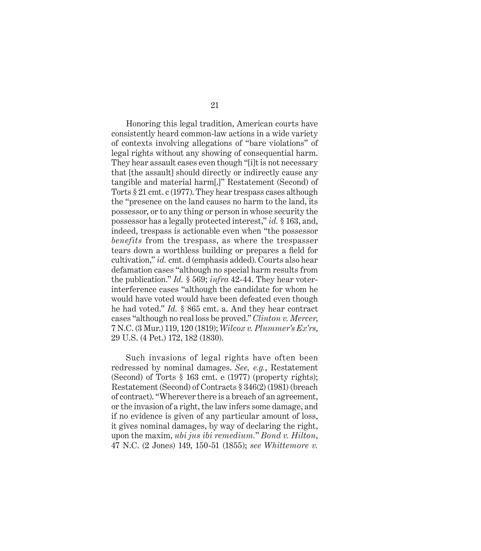Honoring this legal tradition, American courts have consistently heard common-law actions in a wide variety of contexts involving allegations of "bare violations" of legal rights without any showing of consequential harm. They hear assault cases even though "[i]t is not necessary that [the assault] should directly or indirectly cause any tangible and material harm[.]" Restatement (Second) of Torts § 21 cmt. c (1977). They hear trespass cases although the "presence on the land causes no harm to the land, its possessor, or to any thing or person in whose security the possessor has a legally protected interest," *id.* § 163, and, indeed, trespass is actionable even when "the possessor *benefits* from the trespass, as where the trespasser tears down a worthless building or prepares a field for cultivation," *id.* cmt. d (emphasis added). Courts also hear defamation cases "although no special harm results from the publication." *Id.* § 569; *infra* 42-44. They hear voterinterference cases "although the candidate for whom he would have voted would have been defeated even though he had voted." *Id.* § 865 cmt. a. And they hear contract cases "although no real loss be proved." *Clinton v. Mercer*, 7 N.C. (3 Mur.) 119, 120 (1819); *Wilcox v. Plummer's Ex'rs*, 29 U.S. (4 Pet.) 172, 182 (1830).

Such invasions of legal rights have often been redressed by nominal damages. *See, e.g.*, Restatement (Second) of Torts § 163 cmt. e (1977) (property rights); Restatement (Second) of Contracts § 346(2) (1981) (breach of contract). "Wherever there is a breach of an agreement, or the invasion of a right, the law infers some damage, and if no evidence is given of any particular amount of loss, it gives nominal damages, by way of declaring the right, upon the maxim, *ubi jus ibi remedium.*" *Bond v. Hilton*, 47 N.C. (2 Jones) 149, 150-51 (1855); *see Whittemore v.*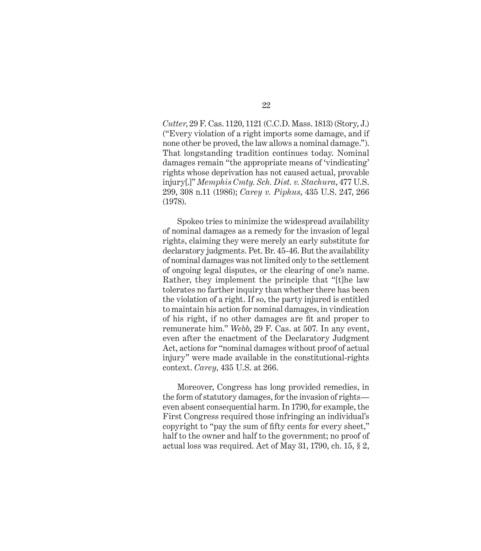*Cutter*, 29 F. Cas. 1120, 1121 (C.C.D. Mass. 1813) (Story, J.) ("Every violation of a right imports some damage, and if none other be proved, the law allows a nominal damage."). That longstanding tradition continues today. Nominal damages remain "the appropriate means of 'vindicating' rights whose deprivation has not caused actual, provable injury[.]" *Memphis Cmty. Sch. Dist. v. Stachura*, 477 U.S. 299, 308 n.11 (1986); *Carey v. Piphus*, 435 U.S. 247, 266 (1978).

Spokeo tries to minimize the widespread availability of nominal damages as a remedy for the invasion of legal rights, claiming they were merely an early substitute for declaratory judgments. Pet. Br. 45-46. But the availability of nominal damages was not limited only to the settlement of ongoing legal disputes, or the clearing of one's name. Rather, they implement the principle that "[t]he law tolerates no farther inquiry than whether there has been the violation of a right. If so, the party injured is entitled to maintain his action for nominal damages, in vindication of his right, if no other damages are fit and proper to remunerate him." *Webb*, 29 F. Cas. at 507. In any event, even after the enactment of the Declaratory Judgment Act, actions for "nominal damages without proof of actual injury" were made available in the constitutional-rights context. *Carey*, 435 U.S. at 266.

Moreover, Congress has long provided remedies, in the form of statutory damages, for the invasion of rights even absent consequential harm. In 1790, for example, the First Congress required those infringing an individual's copyright to "pay the sum of fifty cents for every sheet," half to the owner and half to the government; no proof of actual loss was required. Act of May 31, 1790, ch. 15, § 2,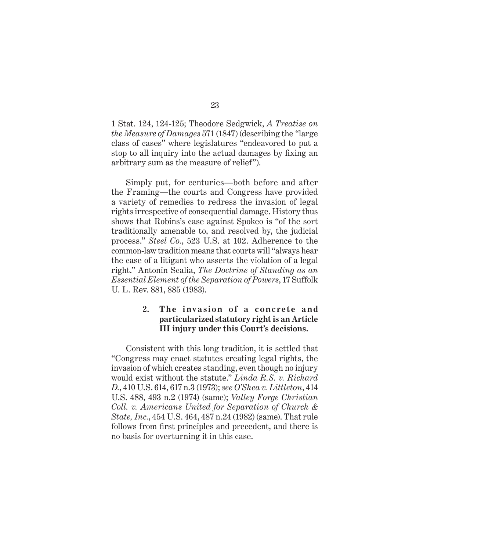1 Stat. 124, 124-125; Theodore Sedgwick, *A Treatise on the Measure of Damages* 571 (1847) (describing the *"*large class of cases" where legislatures "endeavored to put a stop to all inquiry into the actual damages by fixing an arbitrary sum as the measure of relief").

Simply put, for centuries—both before and after the Framing—the courts and Congress have provided a variety of remedies to redress the invasion of legal rights irrespective of consequential damage. History thus shows that Robins's case against Spokeo is "of the sort traditionally amenable to, and resolved by, the judicial process." *Steel Co.*, 523 U.S. at 102. Adherence to the common-law tradition means that courts will "always hear the case of a litigant who asserts the violation of a legal right." Antonin Scalia, *The Doctrine of Standing as an Essential Element of the Separation of Powers*, 17 Suffolk U. L. Rev. 881, 885 (1983).

# 2. The invasion of a concrete and **particularized statutory right is an Article III injury under this Court's decisions.**

Consistent with this long tradition, it is settled that "Congress may enact statutes creating legal rights, the invasion of which creates standing, even though no injury would exist without the statute." *Linda R.S. v. Richard D.*, 410 U.S. 614, 617 n.3 (1973); *see O'Shea v. Littleton*, 414 U.S. 488, 493 n.2 (1974) (same); *Valley Forge Christian Coll. v. Americans United for Separation of Church & State, Inc.*, 454 U.S. 464, 487 n.24 (1982) (same). That rule follows from first principles and precedent, and there is no basis for overturning it in this case.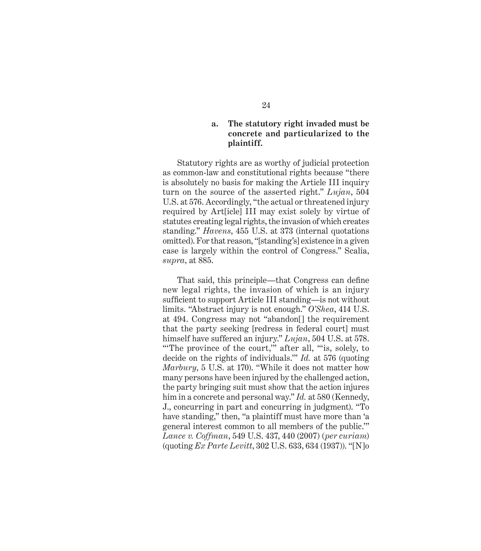### **a. The statutory right invaded must be concrete and particularized to the plaintiff.**

Statutory rights are as worthy of judicial protection as common-law and constitutional rights because "there is absolutely no basis for making the Article III inquiry turn on the source of the asserted right." *Lujan*, 504 U.S. at 576. Accordingly, "the actual or threatened injury required by Art[icle] III may exist solely by virtue of statutes creating legal rights, the invasion of which creates standing." *Havens*, 455 U.S. at 373 (internal quotations omitted). For that reason, "[standing's] existence in a given case is largely within the control of Congress." Scalia, *supra*, at 885.

That said, this principle—that Congress can define new legal rights, the invasion of which is an injury sufficient to support Article III standing—is not without limits. "Abstract injury is not enough." *O'Shea*, 414 U.S. at 494. Congress may not "abandon[] the requirement that the party seeking [redress in federal court] must himself have suffered an injury." *Lujan*, 504 U.S. at 578. "The province of the court," after all, "is, solely, to decide on the rights of individuals.'" *Id.* at 576 (quoting *Marbury*, 5 U.S. at 170). "While it does not matter how many persons have been injured by the challenged action, the party bringing suit must show that the action injures him in a concrete and personal way." *Id.* at 580 (Kennedy, J., concurring in part and concurring in judgment). "To have standing," then, "a plaintiff must have more than 'a general interest common to all members of the public.'" *Lance v. Coffman*, 549 U.S. 437, 440 (2007) (*per curiam*) (quoting *Ex Parte Levitt*, 302 U.S. 633, 634 (1937)). "[N]o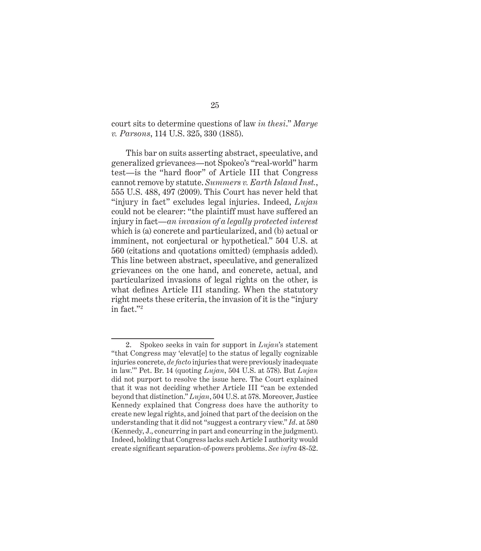court sits to determine questions of law *in thesi*." *Marye v. Parsons*, 114 U.S. 325, 330 (1885).

This bar on suits asserting abstract, speculative, and generalized grievances—not Spokeo's "real-world" harm test—is the "hard floor" of Article III that Congress cannot remove by statute. *Summers v. Earth Island Inst.*, 555 U.S. 488, 497 (2009). This Court has never held that "injury in fact" excludes legal injuries. Indeed, *Lujan*  could not be clearer: "the plaintiff must have suffered an injury in fact—*an invasion of a legally protected interest* which is (a) concrete and particularized, and (b) actual or imminent, not conjectural or hypothetical." 504 U.S. at 560 (citations and quotations omitted) (emphasis added). This line between abstract, speculative, and generalized grievances on the one hand, and concrete, actual, and particularized invasions of legal rights on the other, is what defines Article III standing. When the statutory right meets these criteria, the invasion of it is the "injury in fact."2

<sup>2.</sup> Spokeo seeks in vain for support in *Lujan*'s statement "that Congress may 'elevat[e] to the status of legally cognizable injuries concrete, *de facto* injuries that were previously inadequate in law.'" Pet. Br. 14 (quoting *Lujan*, 504 U.S. at 578). But *Lujan*  did not purport to resolve the issue here. The Court explained that it was not deciding whether Article III "can be extended beyond that distinction." *Lujan*, 504 U.S. at 578. Moreover, Justice Kennedy explained that Congress does have the authority to create new legal rights, and joined that part of the decision on the understanding that it did not "suggest a contrary view." *Id*. at 580 (Kennedy, J., concurring in part and concurring in the judgment). Indeed, holding that Congress lacks such Article I authority would create significant separation-of-powers problems. *See infra* 48-52.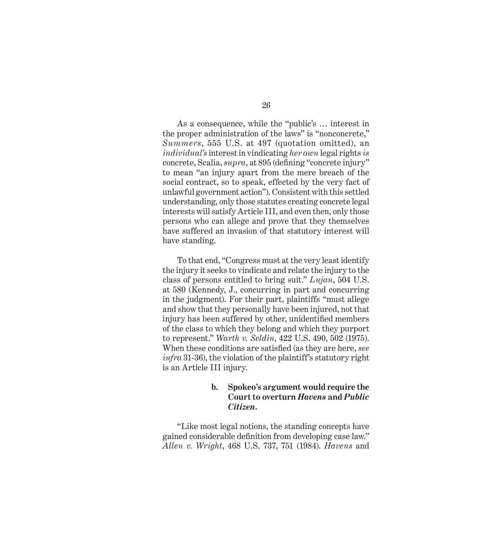As a consequence, while the "public's … interest in the proper administration of the laws" is "nonconcrete," *Summers*, 555 U.S. at 497 (quotation omitted), an *individual's* interest in vindicating *her own* legal rights *is* concrete, Scalia, *supra*, at 895 (defining "concrete injury" to mean "an injury apart from the mere breach of the social contract, so to speak, effected by the very fact of unlawful government action"). Consistent with this settled understanding, only those statutes creating concrete legal interests will satisfy Article III, and even then, only those persons who can allege and prove that they themselves have suffered an invasion of that statutory interest will have standing.

To that end, "Congress must at the very least identify the injury it seeks to vindicate and relate the injury to the class of persons entitled to bring suit." *Lujan*, 504 U.S. at 580 (Kennedy, J., concurring in part and concurring in the judgment). For their part, plaintiffs "must allege and show that they personally have been injured, not that injury has been suffered by other, unidentified members of the class to which they belong and which they purport to represent." *Warth v. Seldin*, 422 U.S. 490, 502 (1975). When these conditions are satisfied (as they are here, *see infra* 31-36), the violation of the plaintiff's statutory right is an Article III injury.

# **b. Spokeo's argument would require the Court to overturn** *Havens* **and** *Public Citizen***.**

"Like most legal notions, the standing concepts have gained considerable definition from developing case law." *Allen v. Wright*, 468 U.S. 737, 751 (1984). *Havens* and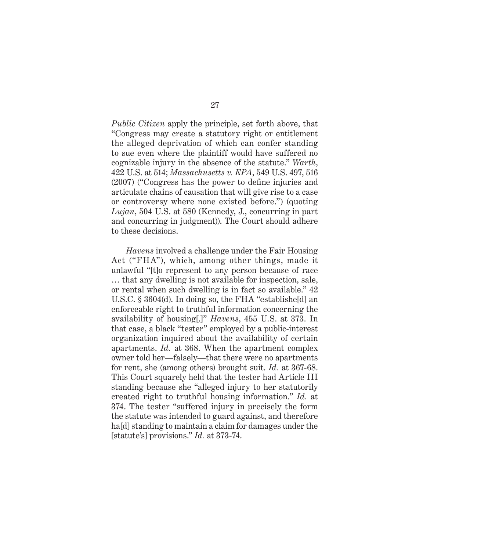*Public Citizen* apply the principle, set forth above, that "Congress may create a statutory right or entitlement the alleged deprivation of which can confer standing to sue even where the plaintiff would have suffered no cognizable injury in the absence of the statute." *Warth*, 422 U.S. at 514; *Massachusetts v. EPA*, 549 U.S. 497, 516  $(2007)$  ("Congress has the power to define injuries and articulate chains of causation that will give rise to a case or controversy where none existed before.") (quoting *Lujan*, 504 U.S. at 580 (Kennedy, J., concurring in part and concurring in judgment)). The Court should adhere to these decisions.

*Havens* involved a challenge under the Fair Housing Act ("FHA"), which, among other things, made it unlawful "[t]o represent to any person because of race … that any dwelling is not available for inspection, sale, or rental when such dwelling is in fact so available." 42 U.S.C. § 3604(d). In doing so, the FHA "establishe[d] an enforceable right to truthful information concerning the availability of housing[.]" *Havens*, 455 U.S. at 373. In that case, a black "tester" employed by a public-interest organization inquired about the availability of certain apartments. *Id.* at 368. When the apartment complex owner told her—falsely—that there were no apartments for rent, she (among others) brought suit. *Id.* at 367-68. This Court squarely held that the tester had Article III standing because she "alleged injury to her statutorily created right to truthful housing information." *Id.* at 374. The tester "suffered injury in precisely the form the statute was intended to guard against, and therefore ha[d] standing to maintain a claim for damages under the [statute's] provisions." *Id.* at 373-74.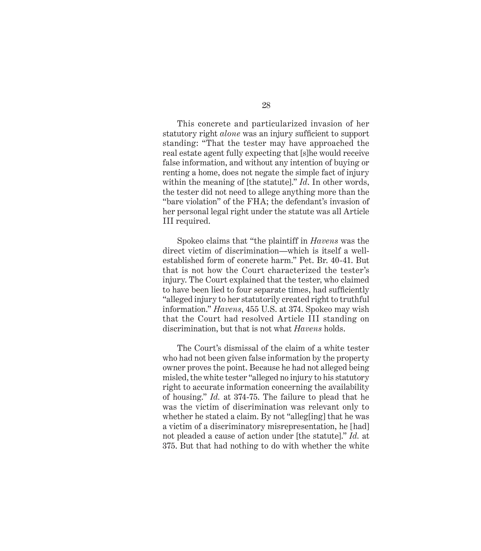This concrete and particularized invasion of her statutory right *alone* was an injury sufficient to support standing: "That the tester may have approached the real estate agent fully expecting that [s]he would receive false information, and without any intention of buying or renting a home, does not negate the simple fact of injury within the meaning of [the statute]." *Id*. In other words, the tester did not need to allege anything more than the "bare violation" of the FHA; the defendant's invasion of her personal legal right under the statute was all Article III required.

Spokeo claims that "the plaintiff in *Havens* was the direct victim of discrimination—which is itself a wellestablished form of concrete harm." Pet. Br. 40-41. But that is not how the Court characterized the tester's injury. The Court explained that the tester, who claimed to have been lied to four separate times, had sufficiently "alleged injury to her statutorily created right to truthful information." *Havens*, 455 U.S. at 374. Spokeo may wish that the Court had resolved Article III standing on discrimination, but that is not what *Havens* holds.

The Court's dismissal of the claim of a white tester who had not been given false information by the property owner proves the point. Because he had not alleged being misled, the white tester "alleged no injury to his statutory right to accurate information concerning the availability of housing." *Id.* at 374-75. The failure to plead that he was the victim of discrimination was relevant only to whether he stated a claim. By not "alleg[ing] that he was a victim of a discriminatory misrepresentation, he [had] not pleaded a cause of action under [the statute]." *Id.* at 375. But that had nothing to do with whether the white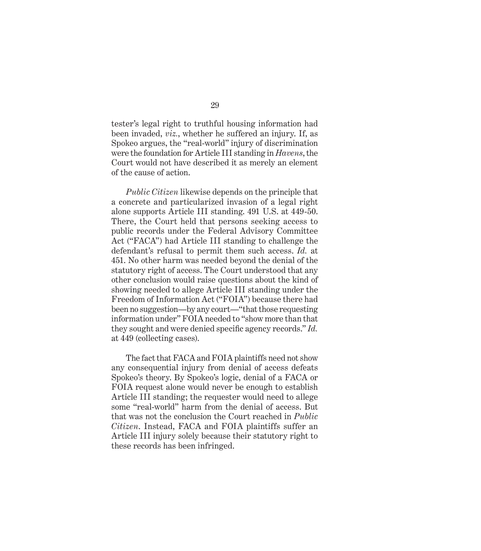tester's legal right to truthful housing information had been invaded, *viz.*, whether he suffered an injury. If, as Spokeo argues, the "real-world" injury of discrimination were the foundation for Article III standing in *Havens*, the Court would not have described it as merely an element of the cause of action.

*Public Citizen* likewise depends on the principle that a concrete and particularized invasion of a legal right alone supports Article III standing. 491 U.S. at 449-50. There, the Court held that persons seeking access to public records under the Federal Advisory Committee Act ("FACA") had Article III standing to challenge the defendant's refusal to permit them such access. *Id.* at 451. No other harm was needed beyond the denial of the statutory right of access. The Court understood that any other conclusion would raise questions about the kind of showing needed to allege Article III standing under the Freedom of Information Act ("FOIA") because there had been no suggestion—by any court—"that those requesting information under" FOIA needed to "show more than that they sought and were denied specific agency records." *Id.* at 449 (collecting cases).

The fact that FACA and FOIA plaintiffs need not show any consequential injury from denial of access defeats Spokeo's theory. By Spokeo's logic, denial of a FACA or FOIA request alone would never be enough to establish Article III standing; the requester would need to allege some "real-world" harm from the denial of access. But that was not the conclusion the Court reached in *Public Citizen*. Instead, FACA and FOIA plaintiffs suffer an Article III injury solely because their statutory right to these records has been infringed.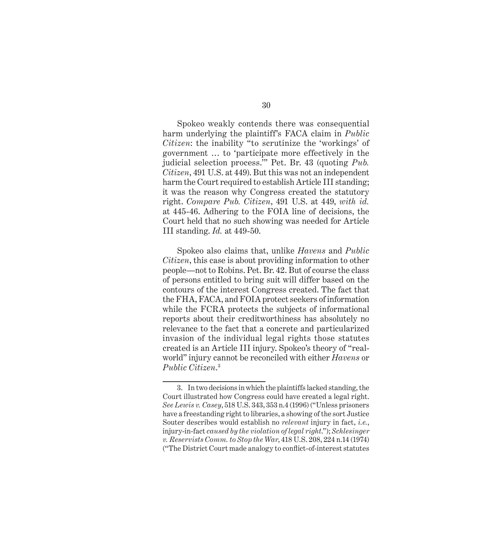Spokeo weakly contends there was consequential harm underlying the plaintiff's FACA claim in *Public Citizen*: the inability "to scrutinize the 'workings' of government … to 'participate more effectively in the judicial selection process.'" Pet. Br. 43 (quoting *Pub. Citizen*, 491 U.S. at 449). But this was not an independent harm the Court required to establish Article III standing; it was the reason why Congress created the statutory right. *Compare Pub. Citizen*, 491 U.S. at 449, *with id.* at 445-46. Adhering to the FOIA line of decisions, the Court held that no such showing was needed for Article III standing. *Id.* at 449-50.

Spokeo also claims that, unlike *Havens* and *Public Citizen*, this case is about providing information to other people—not to Robins. Pet. Br. 42. But of course the class of persons entitled to bring suit will differ based on the contours of the interest Congress created. The fact that the FHA, FACA, and FOIA protect seekers of information while the FCRA protects the subjects of informational reports about their creditworthiness has absolutely no relevance to the fact that a concrete and particularized invasion of the individual legal rights those statutes created is an Article III injury. Spokeo's theory of "realworld" injury cannot be reconciled with either *Havens* or *Public Citizen*. 3

<sup>3.</sup> In two decisions in which the plaintiffs lacked standing, the Court illustrated how Congress could have created a legal right. *See Lewis v. Casey*, 518 U.S. 343, 353 n.4 (1996) ("Unless prisoners have a freestanding right to libraries, a showing of the sort Justice Souter describes would establish no *relevant* injury in fact, *i.e.*, injury-in-fact *caused by the violation of legal right*."); *Schlesinger v. Reservists Comm. to Stop the War*, 418 U.S. 208, 224 n.14 (1974) ("The District Court made analogy to conflict-of-interest statutes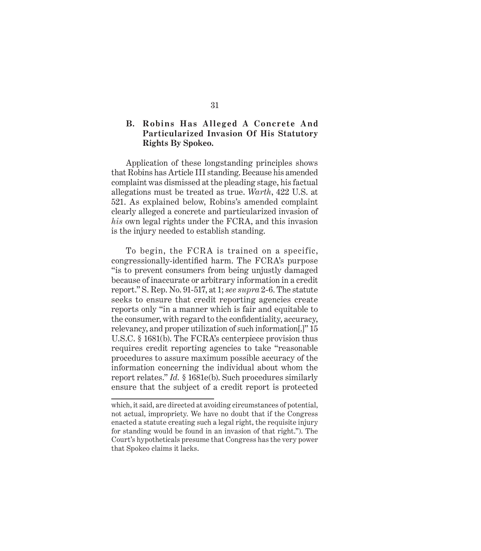## **B. Robins Has Alleged A Concrete And Particularized Invasion Of His Statutory Rights By Spokeo.**

Application of these longstanding principles shows that Robins has Article III standing. Because his amended complaint was dismissed at the pleading stage, his factual allegations must be treated as true. *Warth*, 422 U.S. at 521. As explained below, Robins's amended complaint clearly alleged a concrete and particularized invasion of *his* own legal rights under the FCRA, and this invasion is the injury needed to establish standing.

To begin, the FCRA is trained on a specific, congressionally-identified harm. The FCRA's purpose "is to prevent consumers from being unjustly damaged because of inaccurate or arbitrary information in a credit report." S. Rep. No. 91-517, at 1; *see supra* 2-6. The statute seeks to ensure that credit reporting agencies create reports only "in a manner which is fair and equitable to the consumer, with regard to the confidentiality, accuracy, relevancy, and proper utilization of such information[.]" 15 U.S.C. § 1681(b). The FCRA's centerpiece provision thus requires credit reporting agencies to take "reasonable procedures to assure maximum possible accuracy of the information concerning the individual about whom the report relates." *Id.* § 1681e(b). Such procedures similarly ensure that the subject of a credit report is protected

which, it said, are directed at avoiding circumstances of potential, not actual, impropriety. We have no doubt that if the Congress enacted a statute creating such a legal right, the requisite injury for standing would be found in an invasion of that right."). The Court's hypotheticals presume that Congress has the very power that Spokeo claims it lacks.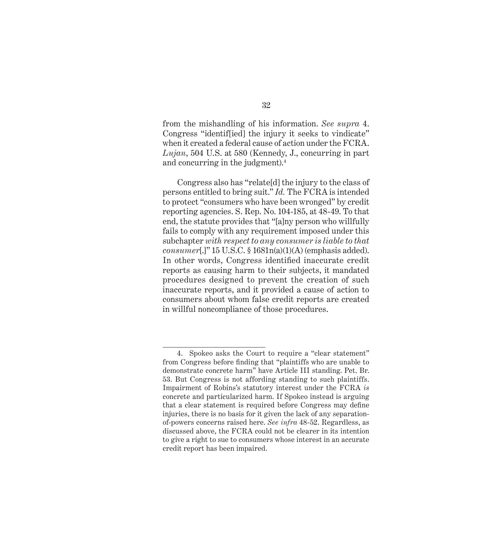from the mishandling of his information. *See supra* 4. Congress "identif[ied] the injury it seeks to vindicate" when it created a federal cause of action under the FCRA. *Lujan*, 504 U.S. at 580 (Kennedy, J., concurring in part and concurring in the judgment).4

Congress also has "relate[d] the injury to the class of persons entitled to bring suit." *Id.* The FCRA is intended to protect "consumers who have been wronged" by credit reporting agencies. S. Rep. No. 104-185, at 48-49. To that end, the statute provides that "[a]ny person who willfully fails to comply with any requirement imposed under this subchapter *with respect to any consumer is liable to that consumer*[.]" 15 U.S.C. § 1681n(a)(1)(A) (emphasis added). In other words, Congress identified inaccurate credit reports as causing harm to their subjects, it mandated procedures designed to prevent the creation of such inaccurate reports, and it provided a cause of action to consumers about whom false credit reports are created in willful noncompliance of those procedures.

<sup>4.</sup> Spokeo asks the Court to require a "clear statement" from Congress before finding that "plaintiffs who are unable to demonstrate concrete harm" have Article III standing. Pet. Br. 53. But Congress is not affording standing to such plaintiffs. Impairment of Robins's statutory interest under the FCRA *is* concrete and particularized harm. If Spokeo instead is arguing that a clear statement is required before Congress may define injuries, there is no basis for it given the lack of any separationof-powers concerns raised here. *See infra* 48-52. Regardless, as discussed above, the FCRA could not be clearer in its intention to give a right to sue to consumers whose interest in an accurate credit report has been impaired.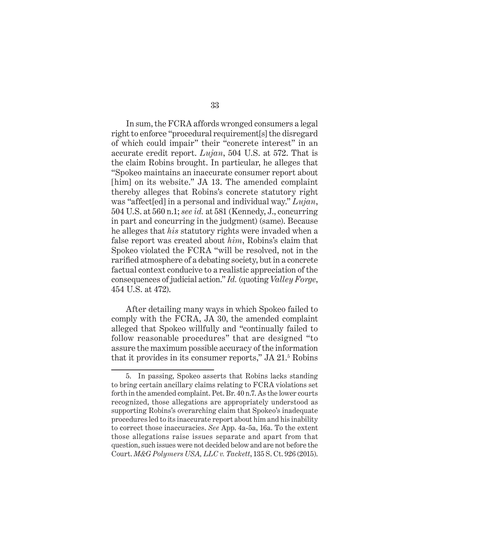In sum, the FCRA affords wronged consumers a legal right to enforce "procedural requirement[s] the disregard of which could impair" their "concrete interest" in an accurate credit report. *Lujan*, 504 U.S. at 572. That is the claim Robins brought. In particular, he alleges that "Spokeo maintains an inaccurate consumer report about [him] on its website." JA 13. The amended complaint thereby alleges that Robins's concrete statutory right was "affect[ed] in a personal and individual way." *Lujan*, 504 U.S. at 560 n.1; *see id.* at 581 (Kennedy, J., concurring in part and concurring in the judgment) (same). Because he alleges that *his* statutory rights were invaded when a false report was created about *him*, Robins's claim that Spokeo violated the FCRA "will be resolved, not in the rarified atmosphere of a debating society, but in a concrete factual context conducive to a realistic appreciation of the consequences of judicial action." *Id.* (quoting *Valley Forge*, 454 U.S. at 472).

After detailing many ways in which Spokeo failed to comply with the FCRA, JA 30, the amended complaint alleged that Spokeo willfully and "continually failed to follow reasonable procedures" that are designed "to assure the maximum possible accuracy of the information that it provides in its consumer reports," JA 21.<sup>5</sup> Robins

<sup>5.</sup> In passing, Spokeo asserts that Robins lacks standing to bring certain ancillary claims relating to FCRA violations set forth in the amended complaint. Pet. Br. 40 n.7. As the lower courts recognized, those allegations are appropriately understood as supporting Robins's overarching claim that Spokeo's inadequate procedures led to its inaccurate report about him and his inability to correct those inaccuracies. *See* App. 4a-5a, 16a. To the extent those allegations raise issues separate and apart from that question, such issues were not decided below and are not before the Court. *M&G Polymers USA, LLC v. Tackett*, 135 S. Ct. 926 (2015).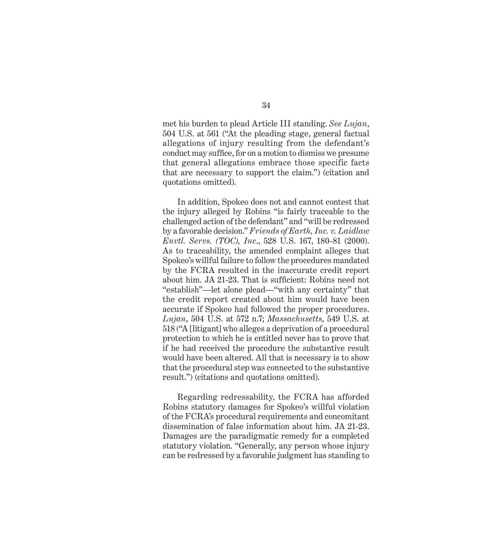met his burden to plead Article III standing. *See Lujan*, 504 U.S. at 561 ("At the pleading stage, general factual allegations of injury resulting from the defendant's conduct may suffice, for on a motion to dismiss we presume that general allegations embrace those specific facts that are necessary to support the claim.") (citation and quotations omitted).

In addition, Spokeo does not and cannot contest that the injury alleged by Robins "is fairly traceable to the challenged action of the defendant" and "will be redressed by a favorable decision." *Friends of Earth, Inc. v. Laidlaw Envtl. Servs. (TOC), Inc*., 528 U.S. 167, 180-81 (2000). As to traceability, the amended complaint alleges that Spokeo's willful failure to follow the procedures mandated by the FCRA resulted in the inaccurate credit report about him. JA 21-23. That is sufficient: Robins need not "establish"—let alone plead—"with any certainty" that the credit report created about him would have been accurate if Spokeo had followed the proper procedures. *Lujan*, 504 U.S. at 572 n.7; *Massachusetts*, 549 U.S. at 518 ("A [litigant] who alleges a deprivation of a procedural protection to which he is entitled never has to prove that if he had received the procedure the substantive result would have been altered. All that is necessary is to show that the procedural step was connected to the substantive result.") (citations and quotations omitted).

Regarding redressability, the FCRA has afforded Robins statutory damages for Spokeo's willful violation of the FCRA's procedural requirements and concomitant dissemination of false information about him. JA 21-23. Damages are the paradigmatic remedy for a completed statutory violation. "Generally, any person whose injury can be redressed by a favorable judgment has standing to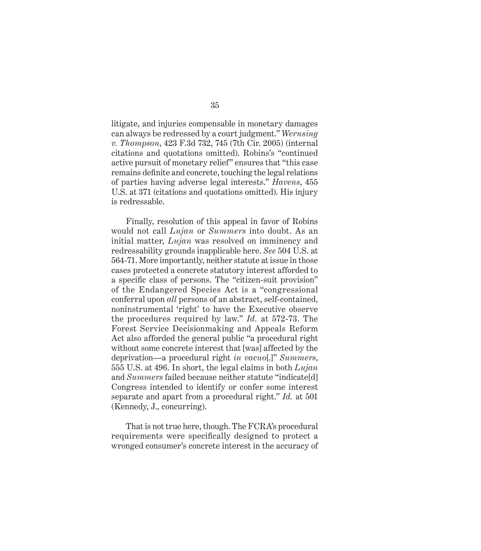litigate, and injuries compensable in monetary damages can always be redressed by a court judgment." *Wernsing v. Thompson*, 423 F.3d 732, 745 (7th Cir. 2005) (internal citations and quotations omitted). Robins's "continued active pursuit of monetary relief" ensures that "this case remains definite and concrete, touching the legal relations of parties having adverse legal interests." *Havens*, 455 U.S. at 371 (citations and quotations omitted). His injury is redressable.

Finally, resolution of this appeal in favor of Robins would not call *Lujan* or *Summers* into doubt. As an initial matter, *Lujan* was resolved on imminency and redressability grounds inapplicable here. *See* 504 U.S. at 564-71. More importantly, neither statute at issue in those cases protected a concrete statutory interest afforded to a specific class of persons. The "citizen-suit provision" of the Endangered Species Act is a "congressional conferral upon *all* persons of an abstract, self-contained, noninstrumental 'right' to have the Executive observe the procedures required by law." *Id.* at 572-73. The Forest Service Decisionmaking and Appeals Reform Act also afforded the general public "a procedural right without some concrete interest that [was] affected by the deprivation—a procedural right *in vacuo*[.]" *Summers*, 555 U.S. at 496. In short, the legal claims in both *Lujan*  and *Summers* failed because neither statute "indicate[d] Congress intended to identify or confer some interest separate and apart from a procedural right." *Id.* at 501 (Kennedy, J., concurring).

That is not true here, though. The FCRA's procedural requirements were specifically designed to protect a wronged consumer's concrete interest in the accuracy of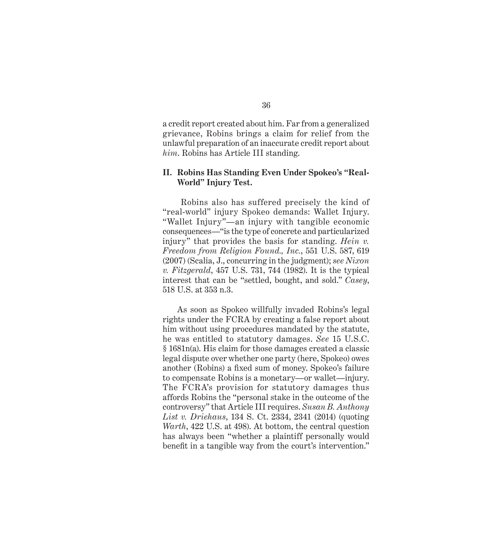a credit report created about him. Far from a generalized grievance, Robins brings a claim for relief from the unlawful preparation of an inaccurate credit report about *him*. Robins has Article III standing.

#### **II. Robins Has Standing Even Under Spokeo's "Real-World" Injury Test.**

 Robins also has suffered precisely the kind of "real-world" injury Spokeo demands: Wallet Injury. "Wallet Injury"—an injury with tangible economic consequences—"is the type of concrete and particularized injury" that provides the basis for standing. *Hein v. Freedom from Religion Found., Inc.*, 551 U.S. 587, 619 (2007) (Scalia, J., concurring in the judgment); *see Nixon v. Fitzgerald*, 457 U.S. 731, 744 (1982). It is the typical interest that can be "settled, bought, and sold." *Casey*, 518 U.S. at 353 n.3.

As soon as Spokeo willfully invaded Robins's legal rights under the FCRA by creating a false report about him without using procedures mandated by the statute, he was entitled to statutory damages. *See* 15 U.S.C. § 1681n(a). His claim for those damages created a classic legal dispute over whether one party (here, Spokeo) owes another (Robins) a fixed sum of money. Spokeo's failure to compensate Robins is a monetary—or wallet—injury. The FCRA's provision for statutory damages thus affords Robins the "personal stake in the outcome of the controversy" that Article III requires. *Susan B. Anthony List v. Driehaus*, 134 S. Ct. 2334, 2341 (2014) (quoting *Warth*, 422 U.S. at 498). At bottom, the central question has always been "whether a plaintiff personally would benefit in a tangible way from the court's intervention."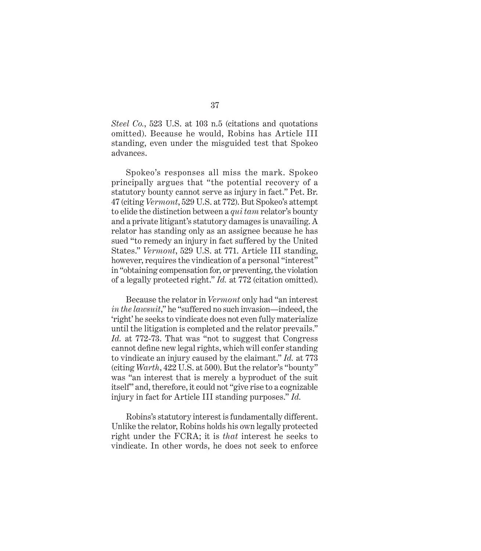*Steel Co.*, 523 U.S. at 103 n.5 (citations and quotations omitted). Because he would, Robins has Article III standing, even under the misguided test that Spokeo advances.

Spokeo's responses all miss the mark. Spokeo principally argues that "the potential recovery of a statutory bounty cannot serve as injury in fact." Pet. Br. 47 (citing *Vermont*, 529 U.S. at 772). But Spokeo's attempt to elide the distinction between a *qui tam* relator's bounty and a private litigant's statutory damages is unavailing. A relator has standing only as an assignee because he has sued "to remedy an injury in fact suffered by the United States." *Vermont*, 529 U.S. at 771. Article III standing, however, requires the vindication of a personal "interest" in "obtaining compensation for, or preventing, the violation of a legally protected right." *Id.* at 772 (citation omitted).

Because the relator in *Vermont* only had "an interest *in the lawsuit*," he "suffered no such invasion—indeed, the 'right' he seeks to vindicate does not even fully materialize until the litigation is completed and the relator prevails." *Id.* at 772-73. That was "not to suggest that Congress cannot define new legal rights, which will confer standing to vindicate an injury caused by the claimant." *Id.* at 773 (citing *Warth*, 422 U.S. at 500). But the relator's "bounty" was "an interest that is merely a byproduct of the suit itself" and, therefore, it could not "give rise to a cognizable injury in fact for Article III standing purposes." *Id.*

Robins's statutory interest is fundamentally different. Unlike the relator, Robins holds his own legally protected right under the FCRA; it is *that* interest he seeks to vindicate. In other words, he does not seek to enforce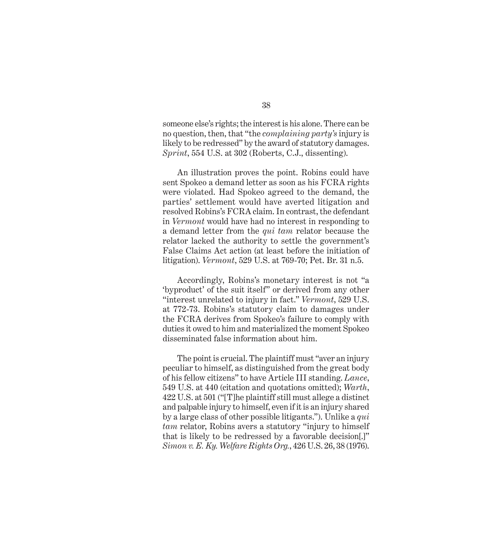someone else's rights; the interest is his alone. There can be no question, then, that "the *complaining party's* injury is likely to be redressed" by the award of statutory damages. *Sprint*, 554 U.S. at 302 (Roberts, C.J., dissenting).

An illustration proves the point. Robins could have sent Spokeo a demand letter as soon as his FCRA rights were violated. Had Spokeo agreed to the demand, the parties' settlement would have averted litigation and resolved Robins's FCRA claim. In contrast, the defendant in *Vermont* would have had no interest in responding to a demand letter from the *qui tam* relator because the relator lacked the authority to settle the government's False Claims Act action (at least before the initiation of litigation). *Vermont*, 529 U.S. at 769-70; Pet. Br. 31 n.5.

Accordingly, Robins's monetary interest is not "a 'byproduct' of the suit itself" or derived from any other "interest unrelated to injury in fact." *Vermont*, 529 U.S. at 772-73. Robins's statutory claim to damages under the FCRA derives from Spokeo's failure to comply with duties it owed to him and materialized the moment Spokeo disseminated false information about him.

The point is crucial. The plaintiff must "aver an injury peculiar to himself, as distinguished from the great body of his fellow citizens" to have Article III standing. *Lance*, 549 U.S. at 440 (citation and quotations omitted); *Warth*, 422 U.S. at 501 ("[T]he plaintiff still must allege a distinct and palpable injury to himself, even if it is an injury shared by a large class of other possible litigants."). Unlike a *qui tam* relator, Robins avers a statutory "injury to himself that is likely to be redressed by a favorable decision[.]" *Simon v. E. Ky. Welfare Rights Org.*, 426 U.S. 26, 38 (1976).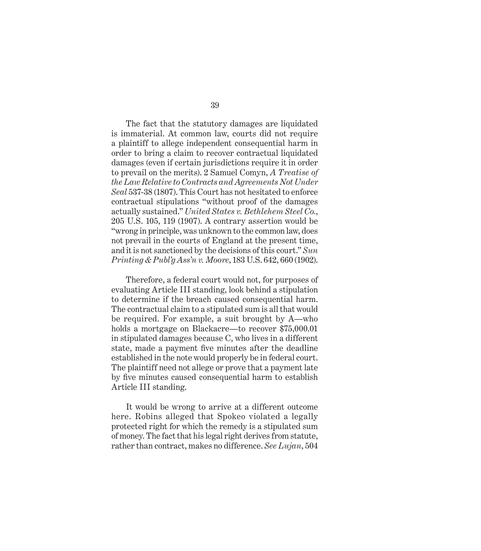The fact that the statutory damages are liquidated is immaterial. At common law, courts did not require a plaintiff to allege independent consequential harm in order to bring a claim to recover contractual liquidated damages (even if certain jurisdictions require it in order to prevail on the merits). 2 Samuel Comyn, *A Treatise of the Law Relative to Contracts and Agreements Not Under Seal* 537-38 (1807). This Court has not hesitated to enforce contractual stipulations "without proof of the damages actually sustained." *United States v. Bethlehem Steel Co.*, 205 U.S. 105, 119 (1907). A contrary assertion would be "wrong in principle, was unknown to the common law, does not prevail in the courts of England at the present time, and it is not sanctioned by the decisions of this court." *Sun Printing & Publ'g Ass'n v. Moore*, 183 U.S. 642, 660 (1902).

Therefore, a federal court would not, for purposes of evaluating Article III standing, look behind a stipulation to determine if the breach caused consequential harm. The contractual claim to a stipulated sum is all that would be required. For example, a suit brought by A—who holds a mortgage on Blackacre—to recover \$75,000.01 in stipulated damages because C, who lives in a different state, made a payment five minutes after the deadline established in the note would properly be in federal court. The plaintiff need not allege or prove that a payment late by five minutes caused consequential harm to establish Article III standing.

It would be wrong to arrive at a different outcome here. Robins alleged that Spokeo violated a legally protected right for which the remedy is a stipulated sum of money. The fact that his legal right derives from statute, rather than contract, makes no difference. *See Lujan*, 504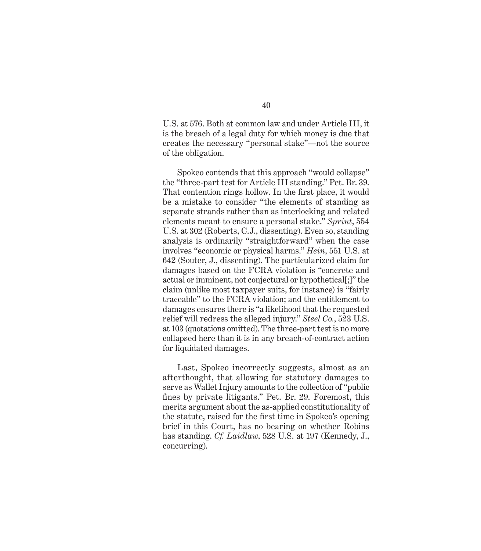U.S. at 576. Both at common law and under Article III, it is the breach of a legal duty for which money is due that creates the necessary "personal stake"—not the source of the obligation.

Spokeo contends that this approach "would collapse" the "three-part test for Article III standing." Pet. Br. 39. That contention rings hollow. In the first place, it would be a mistake to consider "the elements of standing as separate strands rather than as interlocking and related elements meant to ensure a personal stake." *Sprint*, 554 U.S. at 302 (Roberts, C.J., dissenting). Even so, standing analysis is ordinarily "straightforward" when the case involves "economic or physical harms." *Hein*, 551 U.S. at 642 (Souter, J., dissenting). The particularized claim for damages based on the FCRA violation is "concrete and actual or imminent, not conjectural or hypothetical[;]" the claim (unlike most taxpayer suits, for instance) is "fairly traceable" to the FCRA violation; and the entitlement to damages ensures there is "a likelihood that the requested relief will redress the alleged injury." *Steel Co.*, 523 U.S. at 103 (quotations omitted). The three-part test is no more collapsed here than it is in any breach-of-contract action for liquidated damages.

Last, Spokeo incorrectly suggests, almost as an afterthought, that allowing for statutory damages to serve as Wallet Injury amounts to the collection of "public fines by private litigants." Pet. Br. 29. Foremost, this merits argument about the as-applied constitutionality of the statute, raised for the first time in Spokeo's opening brief in this Court, has no bearing on whether Robins has standing. *Cf. Laidlaw*, 528 U.S. at 197 (Kennedy, J., concurring).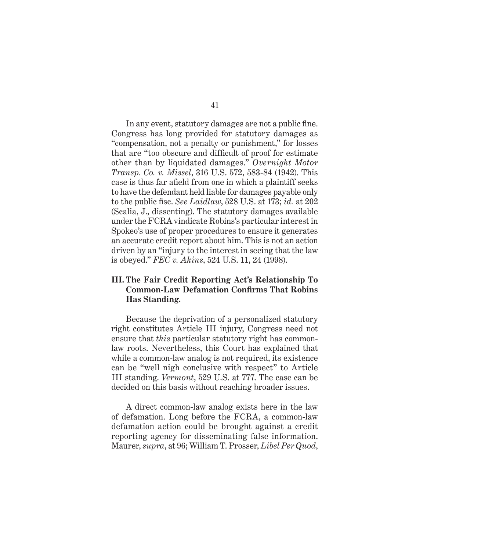In any event, statutory damages are not a public fine. Congress has long provided for statutory damages as "compensation, not a penalty or punishment," for losses that are "too obscure and difficult of proof for estimate other than by liquidated damages." *Overnight Motor Transp. Co. v. Missel*, 316 U.S. 572, 583-84 (1942). This case is thus far afield from one in which a plaintiff seeks to have the defendant held liable for damages payable only to the public fisc. *See Laidlaw*, 528 U.S. at 173; *id.* at 202 (Scalia, J., dissenting). The statutory damages available under the FCRA vindicate Robins's particular interest in Spokeo's use of proper procedures to ensure it generates an accurate credit report about him. This is not an action driven by an "injury to the interest in seeing that the law is obeyed." *FEC v. Akins*, 524 U.S. 11, 24 (1998).

# **III. The Fair Credit Reporting Act's Relationship To Common-Law Defamation Confirms That Robins Has Standing.**

Because the deprivation of a personalized statutory right constitutes Article III injury, Congress need not ensure that *this* particular statutory right has commonlaw roots. Nevertheless, this Court has explained that while a common-law analog is not required, its existence can be "well nigh conclusive with respect" to Article III standing. *Vermont*, 529 U.S. at 777. The case can be decided on this basis without reaching broader issues.

A direct common-law analog exists here in the law of defamation. Long before the FCRA, a common-law defamation action could be brought against a credit reporting agency for disseminating false information. Maurer, *supra*, at 96; William T. Prosser, *Libel Per Quod*,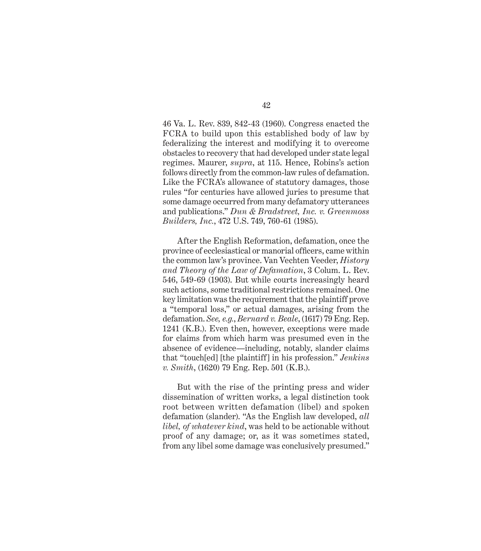46 Va. L. Rev. 839, 842-43 (1960). Congress enacted the FCRA to build upon this established body of law by federalizing the interest and modifying it to overcome obstacles to recovery that had developed under state legal regimes. Maurer, *supra*, at 115. Hence, Robins's action follows directly from the common-law rules of defamation. Like the FCRA's allowance of statutory damages, those rules "for centuries have allowed juries to presume that some damage occurred from many defamatory utterances and publications." *Dun & Bradstreet, Inc. v. Greenmoss Builders, Inc.*, 472 U.S. 749, 760-61 (1985).

After the English Reformation, defamation, once the province of ecclesiastical or manorial officers, came within the common law's province. Van Vechten Veeder, *History and Theory of the Law of Defamation*, 3 Colum. L. Rev. 546, 549-69 (1903). But while courts increasingly heard such actions, some traditional restrictions remained. One key limitation was the requirement that the plaintiff prove a "temporal loss," or actual damages, arising from the defamation. *See, e.g.*, *Bernard v. Beale*, (1617) 79 Eng. Rep. 1241 (K.B.). Even then, however, exceptions were made for claims from which harm was presumed even in the absence of evidence—including, notably, slander claims that "touch[ed] [the plaintiff] in his profession." *Jenkins v. Smith*, (1620) 79 Eng. Rep. 501 (K.B.).

But with the rise of the printing press and wider dissemination of written works, a legal distinction took root between written defamation (libel) and spoken defamation (slander). "As the English law developed, *all libel, of whatever kind*, was held to be actionable without proof of any damage; or, as it was sometimes stated, from any libel some damage was conclusively presumed."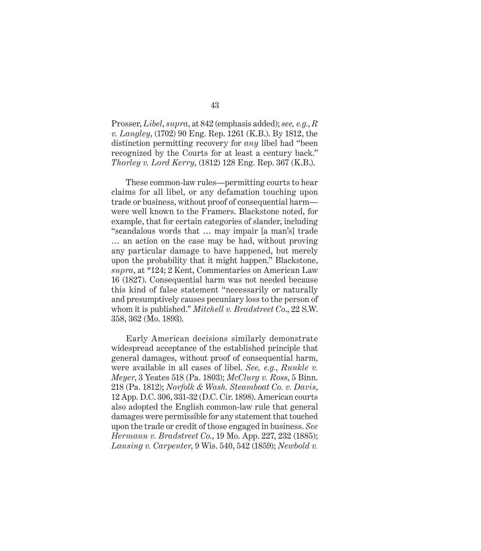Prosser, *Libel*, *supra*, at 842 (emphasis added); *see, e.g.*, *R v. Langley*, (1702) 90 Eng. Rep. 1261 (K.B.). By 1812, the distinction permitting recovery for *any* libel had "been recognized by the Courts for at least a century back." *Thorley v. Lord Kerry*, (1812) 128 Eng. Rep. 367 (K.B.).

These common-law rules—permitting courts to hear claims for all libel, or any defamation touching upon trade or business, without proof of consequential harm were well known to the Framers. Blackstone noted, for example, that for certain categories of slander, including "scandalous words that … may impair [a man's] trade … an action on the case may be had, without proving any particular damage to have happened, but merely upon the probability that it might happen." Blackstone, *supra*, at \*124; 2 Kent, Commentaries on American Law 16 (1827). Consequential harm was not needed because this kind of false statement "necessarily or naturally and presumptively causes pecuniary loss to the person of whom it is published." *Mitchell v. Bradstreet Co*., 22 S.W. 358, 362 (Mo. 1893).

Early American decisions similarly demonstrate widespread acceptance of the established principle that general damages, without proof of consequential harm, were available in all cases of libel. *See, e.g.*, *Runkle v. Meyer*, 3 Yeates 518 (Pa. 1803); *McClurg v. Ross*, 5 Binn. 218 (Pa. 1812); *Norfolk & Wash. Steamboat Co. v. Davis*, 12 App. D.C. 306, 331-32 (D.C. Cir. 1898). American courts also adopted the English common-law rule that general damages were permissible for any statement that touched upon the trade or credit of those engaged in business. *See Hermann v. Bradstreet Co.*, 19 Mo. App. 227, 232 (1885); *Lansing v. Carpenter*, 9 Wis. 540, 542 (1859); *Newbold v.*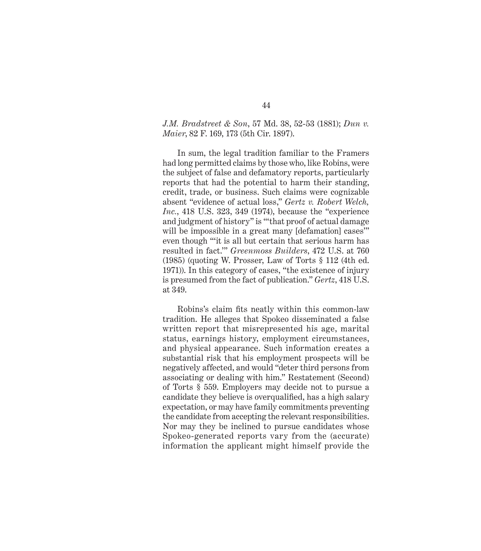#### *J.M. Bradstreet & Son*, 57 Md. 38, 52-53 (1881); *Dun v. Maier*, 82 F. 169, 173 (5th Cir. 1897).

In sum, the legal tradition familiar to the Framers had long permitted claims by those who, like Robins, were the subject of false and defamatory reports, particularly reports that had the potential to harm their standing, credit, trade, or business. Such claims were cognizable absent "evidence of actual loss," *Gertz v. Robert Welch, Inc.*, 418 U.S. 323, 349 (1974), because the "experience and judgment of history" is "'that proof of actual damage will be impossible in a great many [defamation] cases" even though "'it is all but certain that serious harm has resulted in fact.'" *Greenmoss Builders*, 472 U.S. at 760 (1985) (quoting W. Prosser, Law of Torts § 112 (4th ed. 1971)). In this category of cases, "the existence of injury is presumed from the fact of publication." *Gertz*, 418 U.S. at 349.

Robins's claim fits neatly within this common-law tradition. He alleges that Spokeo disseminated a false written report that misrepresented his age, marital status, earnings history, employment circumstances, and physical appearance. Such information creates a substantial risk that his employment prospects will be negatively affected, and would "deter third persons from associating or dealing with him." Restatement (Second) of Torts § 559. Employers may decide not to pursue a candidate they believe is overqualified, has a high salary expectation, or may have family commitments preventing the candidate from accepting the relevant responsibilities. Nor may they be inclined to pursue candidates whose Spokeo-generated reports vary from the (accurate) information the applicant might himself provide the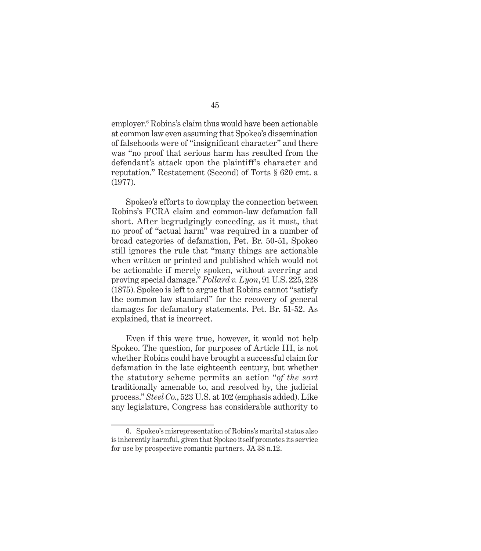employer.<sup>6</sup> Robins's claim thus would have been actionable at common law even assuming that Spokeo's dissemination of falsehoods were of "insignificant character" and there was "no proof that serious harm has resulted from the defendant's attack upon the plaintiff's character and reputation." Restatement (Second) of Torts § 620 cmt. a (1977).

Spokeo's efforts to downplay the connection between Robins's FCRA claim and common-law defamation fall short. After begrudgingly conceding, as it must, that no proof of "actual harm" was required in a number of broad categories of defamation, Pet. Br. 50-51, Spokeo still ignores the rule that "many things are actionable when written or printed and published which would not be actionable if merely spoken, without averring and proving special damage." *Pollard v. Lyon*, 91 U.S. 225, 228 (1875). Spokeo is left to argue that Robins cannot "satisfy the common law standard" for the recovery of general damages for defamatory statements. Pet. Br. 51-52. As explained, that is incorrect.

Even if this were true, however, it would not help Spokeo. The question, for purposes of Article III, is not whether Robins could have brought a successful claim for defamation in the late eighteenth century, but whether the statutory scheme permits an action "*of the sort* traditionally amenable to, and resolved by, the judicial process." *Steel Co.*, 523 U.S. at 102 (emphasis added). Like any legislature, Congress has considerable authority to

<sup>6.</sup> Spokeo's misrepresentation of Robins's marital status also is inherently harmful, given that Spokeo itself promotes its service for use by prospective romantic partners. JA 38 n.12.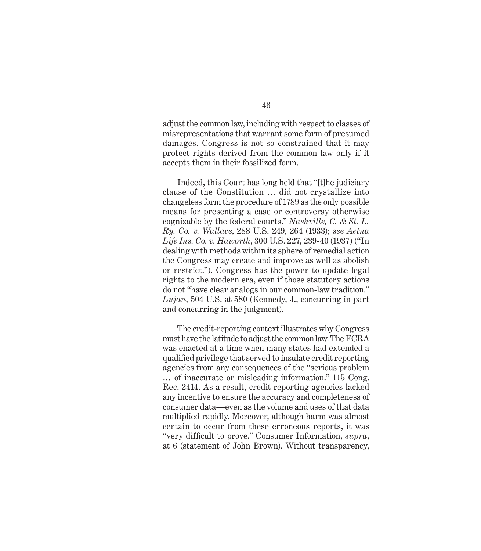adjust the common law, including with respect to classes of misrepresentations that warrant some form of presumed damages. Congress is not so constrained that it may protect rights derived from the common law only if it accepts them in their fossilized form.

Indeed, this Court has long held that "[t]he judiciary clause of the Constitution … did not crystallize into changeless form the procedure of 1789 as the only possible means for presenting a case or controversy otherwise cognizable by the federal courts." *Nashville, C. & St. L. Ry. Co. v. Wallace*, 288 U.S. 249, 264 (1933); *see Aetna Life Ins. Co. v. Haworth*, 300 U.S. 227, 239-40 (1937) ("In dealing with methods within its sphere of remedial action the Congress may create and improve as well as abolish or restrict."). Congress has the power to update legal rights to the modern era, even if those statutory actions do not "have clear analogs in our common-law tradition." *Lujan*, 504 U.S. at 580 (Kennedy, J., concurring in part and concurring in the judgment).

The credit-reporting context illustrates why Congress must have the latitude to adjust the common law. The FCRA was enacted at a time when many states had extended a qualified privilege that served to insulate credit reporting agencies from any consequences of the "serious problem … of inaccurate or misleading information." 115 Cong. Rec. 2414. As a result, credit reporting agencies lacked any incentive to ensure the accuracy and completeness of consumer data—even as the volume and uses of that data multiplied rapidly. Moreover, although harm was almost certain to occur from these erroneous reports, it was "very difficult to prove." Consumer Information, *supra*, at 6 (statement of John Brown). Without transparency,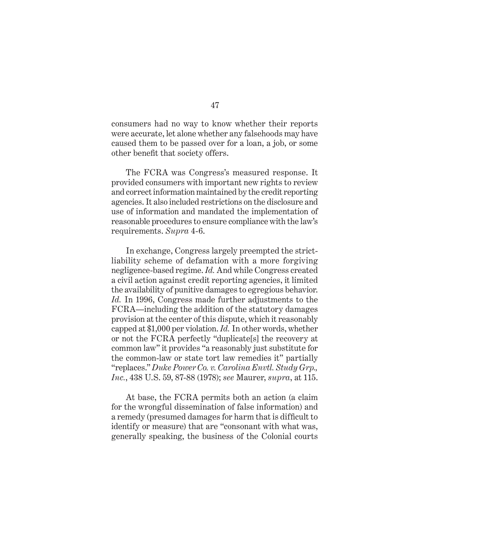consumers had no way to know whether their reports were accurate, let alone whether any falsehoods may have caused them to be passed over for a loan, a job, or some other benefit that society offers.

The FCRA was Congress's measured response. It provided consumers with important new rights to review and correct information maintained by the credit reporting agencies. It also included restrictions on the disclosure and use of information and mandated the implementation of reasonable procedures to ensure compliance with the law's requirements. *Supra* 4-6.

In exchange, Congress largely preempted the strictliability scheme of defamation with a more forgiving negligence-based regime. *Id.* And while Congress created a civil action against credit reporting agencies, it limited the availability of punitive damages to egregious behavior. *Id.* In 1996, Congress made further adjustments to the FCRA—including the addition of the statutory damages provision at the center of this dispute, which it reasonably capped at \$1,000 per violation. *Id.* In other words, whether or not the FCRA perfectly "duplicate[s] the recovery at common law" it provides "a reasonably just substitute for the common-law or state tort law remedies it" partially "replaces." *Duke Power Co. v. Carolina Envtl. Study Grp., Inc.*, 438 U.S. 59, 87-88 (1978); *see* Maurer, *supra*, at 115.

At base, the FCRA permits both an action (a claim for the wrongful dissemination of false information) and a remedy (presumed damages for harm that is difficult to identify or measure) that are "consonant with what was, generally speaking, the business of the Colonial courts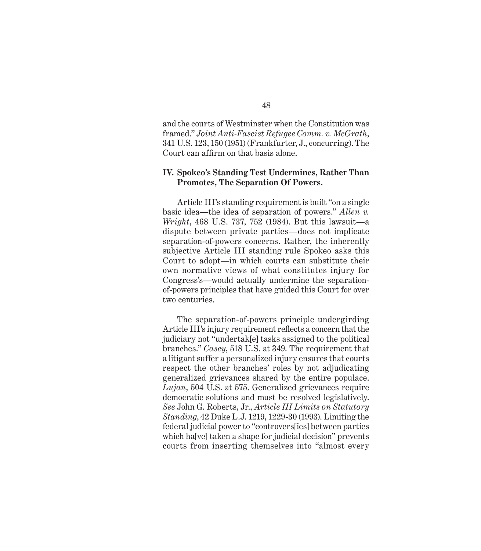and the courts of Westminster when the Constitution was framed." *Joint Anti-Fascist Refugee Comm. v. McGrath*, 341 U.S. 123, 150 (1951) (Frankfurter, J., concurring). The Court can affirm on that basis alone.

#### **IV. Spokeo's Standing Test Undermines, Rather Than Promotes, The Separation Of Powers.**

Article III's standing requirement is built "on a single basic idea—the idea of separation of powers." *Allen v. Wright*, 468 U.S. 737, 752 (1984). But this lawsuit—a dispute between private parties—does not implicate separation-of-powers concerns. Rather, the inherently subjective Article III standing rule Spokeo asks this Court to adopt—in which courts can substitute their own normative views of what constitutes injury for Congress's—would actually undermine the separationof-powers principles that have guided this Court for over two centuries.

The separation-of-powers principle undergirding Article III's injury requirement reflects a concern that the judiciary not "undertak[e] tasks assigned to the political branches." *Casey*, 518 U.S. at 349. The requirement that a litigant suffer a personalized injury ensures that courts respect the other branches' roles by not adjudicating generalized grievances shared by the entire populace. *Lujan*, 504 U.S. at 575. Generalized grievances require democratic solutions and must be resolved legislatively. *See* John G. Roberts, Jr., *Article III Limits on Statutory Standing*, 42 Duke L.J. 1219, 1229-30 (1993). Limiting the federal judicial power to "controvers[ies] between parties which ha[ve] taken a shape for judicial decision" prevents courts from inserting themselves into "almost every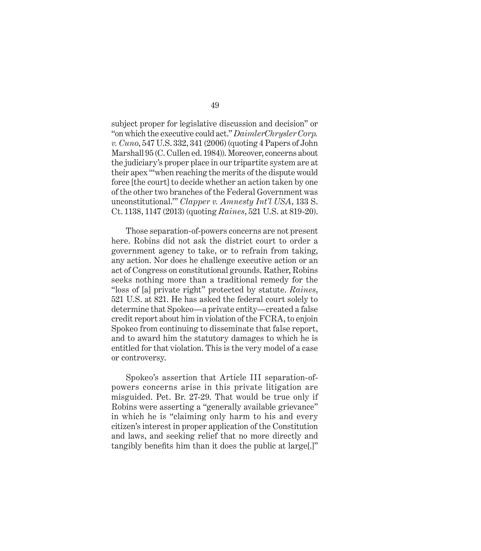subject proper for legislative discussion and decision" or "on which the executive could act." *DaimlerChrysler Corp. v. Cuno*, 547 U.S. 332, 341 (2006) (quoting 4 Papers of John Marshall 95 (C. Cullen ed. 1984)). Moreover, concerns about the judiciary's proper place in our tripartite system are at their apex "'when reaching the merits of the dispute would force [the court] to decide whether an action taken by one of the other two branches of the Federal Government was unconstitutional.'" *Clapper v. Amnesty Int'l USA*, 133 S. Ct. 1138, 1147 (2013) (quoting *Raines*, 521 U.S. at 819-20).

Those separation-of-powers concerns are not present here. Robins did not ask the district court to order a government agency to take, or to refrain from taking, any action. Nor does he challenge executive action or an act of Congress on constitutional grounds. Rather, Robins seeks nothing more than a traditional remedy for the "loss of [a] private right" protected by statute. *Raines*, 521 U.S. at 821. He has asked the federal court solely to determine that Spokeo—a private entity—created a false credit report about him in violation of the FCRA, to enjoin Spokeo from continuing to disseminate that false report, and to award him the statutory damages to which he is entitled for that violation. This is the very model of a case or controversy.

Spokeo's assertion that Article III separation-ofpowers concerns arise in this private litigation are misguided. Pet. Br. 27-29. That would be true only if Robins were asserting a "generally available grievance" in which he is "claiming only harm to his and every citizen's interest in proper application of the Constitution and laws, and seeking relief that no more directly and tangibly benefits him than it does the public at large.]"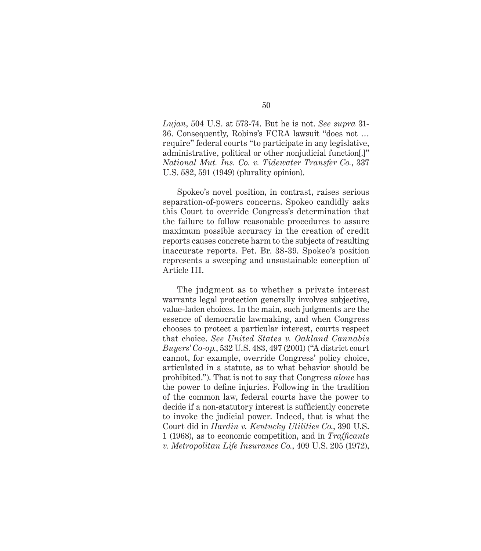*Lujan*, 504 U.S. at 573-74. But he is not. *See supra* 31- 36. Consequently, Robins's FCRA lawsuit "does not … require" federal courts "to participate in any legislative, administrative, political or other nonjudicial function[.]" *National Mut. Ins. Co. v. Tidewater Transfer Co.*, 337 U.S. 582, 591 (1949) (plurality opinion).

Spokeo's novel position, in contrast, raises serious separation-of-powers concerns. Spokeo candidly asks this Court to override Congress's determination that the failure to follow reasonable procedures to assure maximum possible accuracy in the creation of credit reports causes concrete harm to the subjects of resulting inaccurate reports. Pet. Br. 38-39. Spokeo's position represents a sweeping and unsustainable conception of Article III.

The judgment as to whether a private interest warrants legal protection generally involves subjective, value-laden choices. In the main, such judgments are the essence of democratic lawmaking, and when Congress chooses to protect a particular interest, courts respect that choice. *See United States v. Oakland Cannabis Buyers' Co-op.*, 532 U.S. 483, 497 (2001) ("A district court cannot, for example, override Congress' policy choice, articulated in a statute, as to what behavior should be prohibited."). That is not to say that Congress *alone* has the power to define injuries. Following in the tradition of the common law, federal courts have the power to decide if a non-statutory interest is sufficiently concrete to invoke the judicial power. Indeed, that is what the Court did in *Hardin v. Kentucky Utilities Co.*, 390 U.S. 1 (1968), as to economic competition, and in *Traffi cante v. Metropolitan Life Insurance Co.*, 409 U.S. 205 (1972),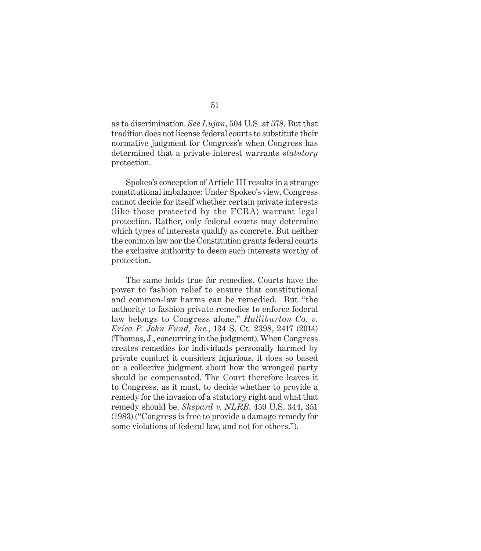as to discrimination. *See Lujan*, 504 U.S. at 578. But that tradition does not license federal courts to substitute their normative judgment for Congress's when Congress has determined that a private interest warrants *statutory* protection.

Spokeo's conception of Article III results in a strange constitutional imbalance: Under Spokeo's view, Congress cannot decide for itself whether certain private interests (like those protected by the FCRA) warrant legal protection. Rather, only federal courts may determine which types of interests qualify as concrete. But neither the common law nor the Constitution grants federal courts the exclusive authority to deem such interests worthy of protection.

The same holds true for remedies. Courts have the power to fashion relief to ensure that constitutional and common-law harms can be remedied. But "the authority to fashion private remedies to enforce federal law belongs to Congress alone." *Halliburton Co. v. Erica P. John Fund, Inc.*, 134 S. Ct. 2398, 2417 (2014) (Thomas, J., concurring in the judgment). When Congress creates remedies for individuals personally harmed by private conduct it considers injurious, it does so based on a collective judgment about how the wronged party should be compensated. The Court therefore leaves it to Congress, as it must, to decide whether to provide a remedy for the invasion of a statutory right and what that remedy should be. *Shepard v. NLRB*, 459 U.S. 344, 351 (1983) ("Congress is free to provide a damage remedy for some violations of federal law, and not for others.").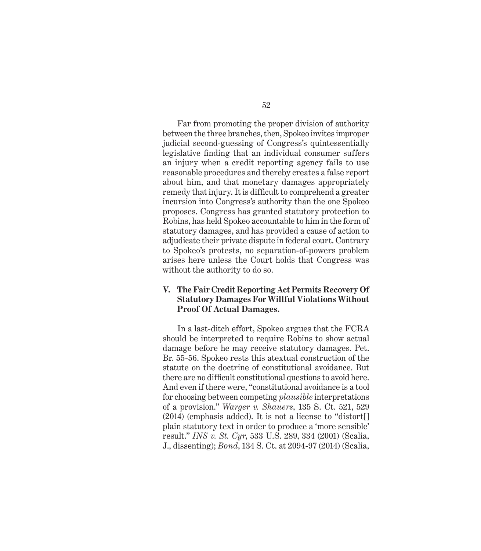Far from promoting the proper division of authority between the three branches, then, Spokeo invites improper judicial second-guessing of Congress's quintessentially legislative finding that an individual consumer suffers an injury when a credit reporting agency fails to use reasonable procedures and thereby creates a false report about him, and that monetary damages appropriately re medy that injury. It is difficult to comprehend a greater incursion into Congress's authority than the one Spokeo proposes. Congress has granted statutory protection to Robins, has held Spokeo accountable to him in the form of statutory damages, and has provided a cause of action to adjudicate their private dispute in federal court. Contrary to Spokeo's protests, no separation-of-powers problem arises here unless the Court holds that Congress was without the authority to do so.

# **V. The Fair Credit Reporting Act Permits Recovery Of Statutory Damages For Willful Violations Without Proof Of Actual Damages.**

In a last-ditch effort, Spokeo argues that the FCRA should be interpreted to require Robins to show actual damage before he may receive statutory damages. Pet. Br. 55-56. Spokeo rests this atextual construction of the statute on the doctrine of constitutional avoidance. But there are no difficult constitutional questions to avoid here. And even if there were, "constitutional avoidance is a tool for choosing between competing *plausible* interpretations of a provision." *Warger v. Shauers*, 135 S. Ct. 521, 529 (2014) (emphasis added). It is not a license to "distort[] plain statutory text in order to produce a 'more sensible' result." *INS v. St. Cyr*, 533 U.S. 289, 334 (2001) (Scalia, J., dissenting); *Bond*, 134 S. Ct. at 2094-97 (2014) (Scalia,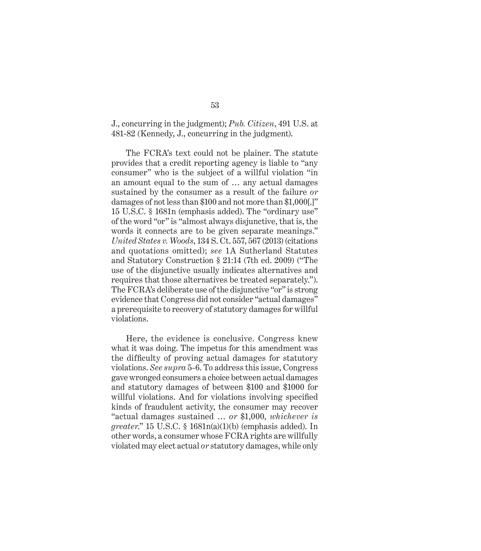### J., concurring in the judgment); *Pub. Citizen*, 491 U.S. at 481-82 (Kennedy, J., concurring in the judgment).

The FCRA's text could not be plainer. The statute provides that a credit reporting agency is liable to "any consumer" who is the subject of a willful violation "in an amount equal to the sum of … any actual damages sustained by the consumer as a result of the failure *or* damages of not less than \$100 and not more than \$1,000[.]" 15 U.S.C. § 1681n (emphasis added). The "ordinary use" of the word "or" is "almost always disjunctive, that is, the words it connects are to be given separate meanings." *United States v. Woods*, 134 S. Ct. 557, 567 (2013) (citations and quotations omitted); *see* 1A Sutherland Statutes and Statutory Construction § 21:14 (7th ed. 2009) ("The use of the disjunctive usually indicates alternatives and requires that those alternatives be treated separately."). The FCRA's deliberate use of the disjunctive "or" is strong evidence that Congress did not consider "actual damages" a prerequisite to recovery of statutory damages for willful violations.

Here, the evidence is conclusive. Congress knew what it was doing. The impetus for this amendment was the difficulty of proving actual damages for statutory violations. *See supra* 5-6. To address this issue, Congress gave wronged consumers a choice between actual damages and statutory damages of between \$100 and \$1000 for willful violations. And for violations involving specified kinds of fraudulent activity, the consumer may recover "actual damages sustained … *or* \$1,000, *whichever is greater*." 15 U.S.C. § 1681n(a)(1)(b) (emphasis added). In other words, a consumer whose FCRA rights are willfully violated may elect actual *or* statutory damages, while only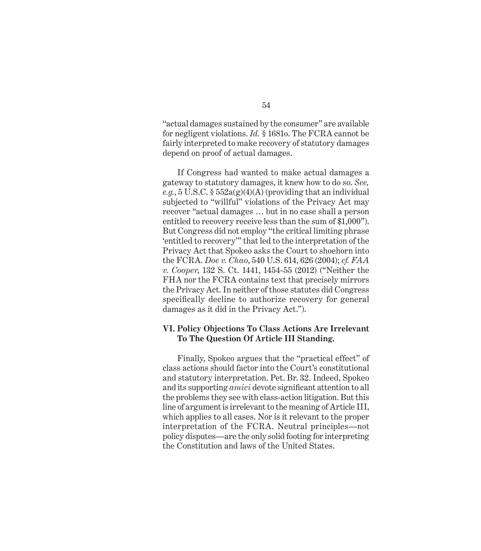"actual damages sustained by the consumer" are available for negligent violations. *Id.* § 1681o. The FCRA cannot be fairly interpreted to make recovery of statutory damages depend on proof of actual damages.

If Congress had wanted to make actual damages a gateway to statutory damages, it knew how to do so. *See,*   $e.g., 5 \text{ U.S.C. } § 552a(g)(4)(A)$  (providing that an individual subjected to "willful" violations of the Privacy Act may recover "actual damages … but in no case shall a person entitled to recovery receive less than the sum of \$1,000"). But Congress did not employ "the critical limiting phrase 'entitled to recovery'" that led to the interpretation of the Privacy Act that Spokeo asks the Court to shoehorn into the FCRA. *Doe v. Chao*, 540 U.S. 614, 626 (2004); *cf. FAA v. Cooper*, 132 S. Ct. 1441, 1454-55 (2012) ("Neither the FHA nor the FCRA contains text that precisely mirrors the Privacy Act. In neither of those statutes did Congress specifically decline to authorize recovery for general damages as it did in the Privacy Act.").

### **VI. Policy Objections To Class Actions Are Irrelevant To The Question Of Article III Standing.**

Finally, Spokeo argues that the "practical effect" of class actions should factor into the Court's constitutional and statutory interpretation. Pet. Br. 32. Indeed, Spokeo and its supporting *amici* devote significant attention to all the problems they see with class-action litigation. But this line of argument is irrelevant to the meaning of Article III, which applies to all cases. Nor is it relevant to the proper interpretation of the FCRA. Neutral principles—not policy disputes—are the only solid footing for interpreting the Constitution and laws of the United States.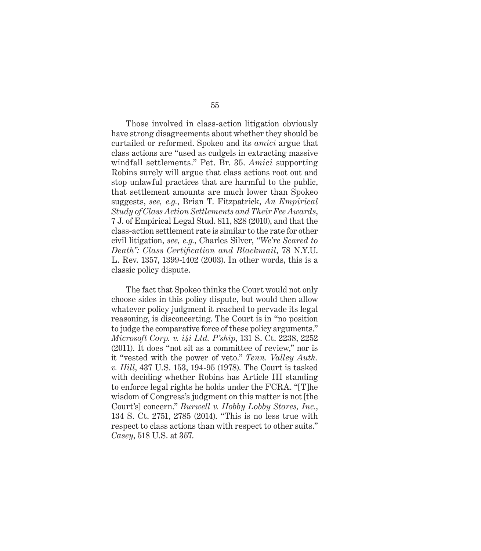Those involved in class-action litigation obviously have strong disagreements about whether they should be curtailed or reformed. Spokeo and its *amici* argue that class actions are "used as cudgels in extracting massive windfall settlements." Pet. Br. 35. *Amici* supporting Robins surely will argue that class actions root out and stop unlawful practices that are harmful to the public, that settlement amounts are much lower than Spokeo suggests, *see, e.g.*, Brian T. Fitzpatrick, *An Empirical Study of Class Action Settlements and Their Fee Awards*, 7 J. of Empirical Legal Stud. 811, 828 (2010), and that the class-action settlement rate is similar to the rate for other civil litigation, *see, e.g.*, Charles Silver, *"We're Scared to Death": Class Certification and Blackmail*, 78 N.Y.U. L. Rev. 1357, 1399-1402 (2003). In other words, this is a classic policy dispute.

The fact that Spokeo thinks the Court would not only choose sides in this policy dispute, but would then allow whatever policy judgment it reached to pervade its legal reasoning, is disconcerting. The Court is in "no position to judge the comparative force of these policy arguments." *Microsoft Corp. v. i4i Ltd. P'ship*, 131 S. Ct. 2238, 2252 (2011). It does "not sit as a committee of review," nor is it "vested with the power of veto." *Tenn. Valley Auth. v. Hill*, 437 U.S. 153, 194-95 (1978). The Court is tasked with deciding whether Robins has Article III standing to enforce legal rights he holds under the FCRA. "[T]he wisdom of Congress's judgment on this matter is not [the Court's] concern." *Burwell v. Hobby Lobby Stores, Inc.*, 134 S. Ct. 2751, 2785 (2014). "This is no less true with respect to class actions than with respect to other suits." *Casey*, 518 U.S. at 357.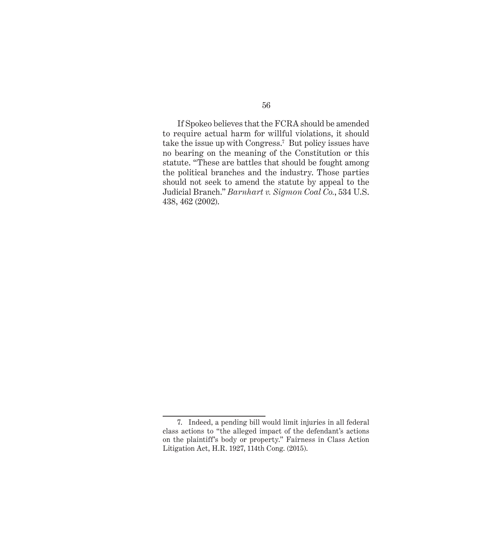If Spokeo believes that the FCRA should be amended to require actual harm for willful violations, it should take the issue up with Congress.7 But policy issues have no bearing on the meaning of the Constitution or this statute. "These are battles that should be fought among the political branches and the industry. Those parties should not seek to amend the statute by appeal to the Judicial Branch." *Barnhart v. Sigmon Coal Co.*, 534 U.S. 438, 462 (2002).

<sup>7.</sup> Indeed, a pending bill would limit injuries in all federal class actions to "the alleged impact of the defendant's actions on the plaintiff's body or property." Fairness in Class Action Litigation Act, H.R. 1927, 114th Cong. (2015).